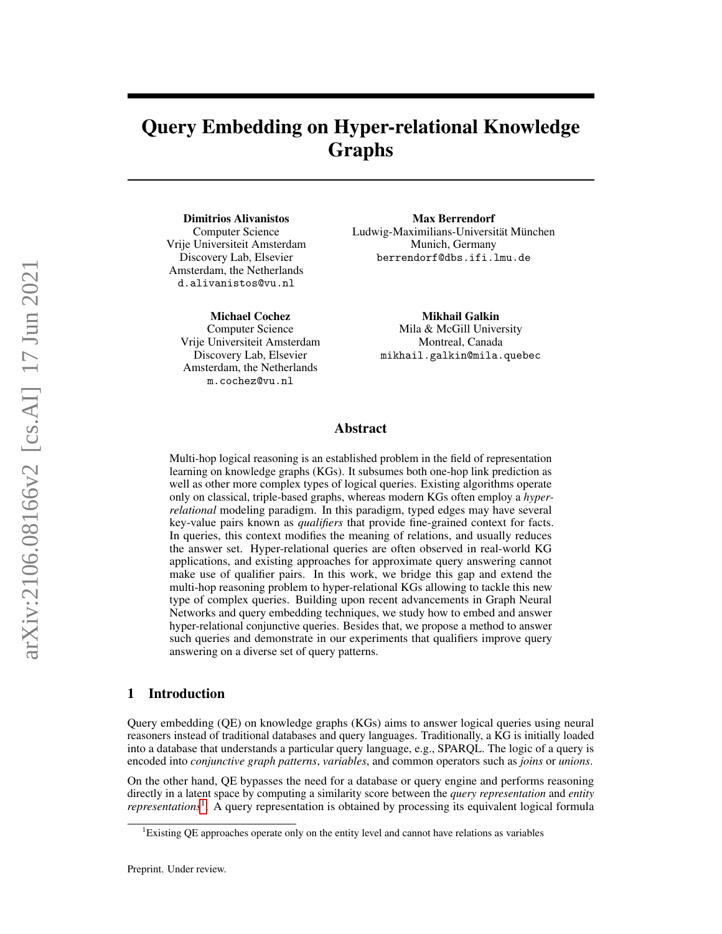## Query Embedding on Hyper-relational Knowledge Graphs

Dimitrios Alivanistos Computer Science Vrije Universiteit Amsterdam Discovery Lab, Elsevier Amsterdam, the Netherlands d.alivanistos@vu.nl

Michael Cochez Computer Science Vrije Universiteit Amsterdam Discovery Lab, Elsevier Amsterdam, the Netherlands m.cochez@vu.nl

Max Berrendorf Ludwig-Maximilians-Universität München Munich, Germany berrendorf@dbs.ifi.lmu.de

> Mikhail Galkin Mila & McGill University Montreal, Canada mikhail.galkin@mila.quebec

## Abstract

Multi-hop logical reasoning is an established problem in the field of representation learning on knowledge graphs (KGs). It subsumes both one-hop link prediction as well as other more complex types of logical queries. Existing algorithms operate only on classical, triple-based graphs, whereas modern KGs often employ a *hyperrelational* modeling paradigm. In this paradigm, typed edges may have several key-value pairs known as *qualifiers* that provide fine-grained context for facts. In queries, this context modifies the meaning of relations, and usually reduces the answer set. Hyper-relational queries are often observed in real-world KG applications, and existing approaches for approximate query answering cannot make use of qualifier pairs. In this work, we bridge this gap and extend the multi-hop reasoning problem to hyper-relational KGs allowing to tackle this new type of complex queries. Building upon recent advancements in Graph Neural Networks and query embedding techniques, we study how to embed and answer hyper-relational conjunctive queries. Besides that, we propose a method to answer such queries and demonstrate in our experiments that qualifiers improve query answering on a diverse set of query patterns.

## 1 Introduction

Query embedding (QE) on knowledge graphs (KGs) aims to answer logical queries using neural reasoners instead of traditional databases and query languages. Traditionally, a KG is initially loaded into a database that understands a particular query language, e.g., SPARQL. The logic of a query is encoded into *conjunctive graph patterns*, *variables*, and common operators such as *joins* or *unions*.

On the other hand, QE bypasses the need for a database or query engine and performs reasoning directly in a latent space by computing a similarity score between the *query representation* and *entity representations*[1](#page-0-0) . A query representation is obtained by processing its equivalent logical formula

<span id="page-0-0"></span><sup>1</sup>Existing QE approaches operate only on the entity level and cannot have relations as variables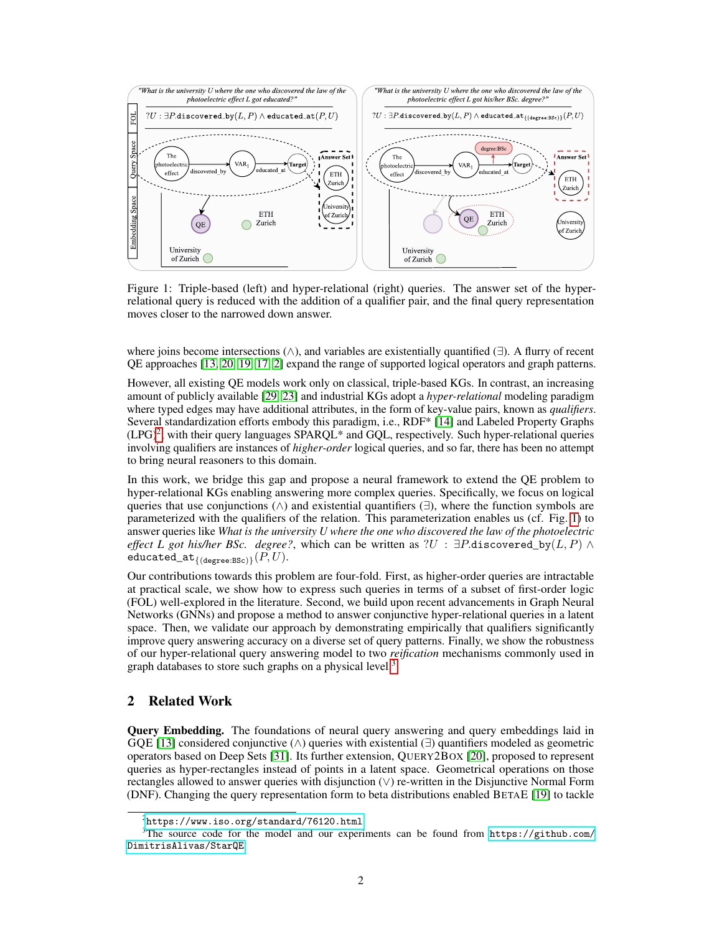

<span id="page-1-1"></span>Figure 1: Triple-based (left) and hyper-relational (right) queries. The answer set of the hyperrelational query is reduced with the addition of a qualifier pair, and the final query representation moves closer to the narrowed down answer.

where joins become intersections (∧), and variables are existentially quantified (∃). A flurry of recent QE approaches [\[13,](#page-10-0) [20,](#page-10-1) [19,](#page-10-2) [17,](#page-10-3) [2\]](#page-9-0) expand the range of supported logical operators and graph patterns.

However, all existing QE models work only on classical, triple-based KGs. In contrast, an increasing amount of publicly available [\[29,](#page-11-0) [23\]](#page-10-4) and industrial KGs adopt a *hyper-relational* modeling paradigm where typed edges may have additional attributes, in the form of key-value pairs, known as *qualifiers*. Several standardization efforts embody this paradigm, i.e., RDF\* [\[14\]](#page-10-5) and Labeled Property Graphs  $(LPG)^2$  $(LPG)^2$ , with their query languages SPARQL\* and GQL, respectively. Such hyper-relational queries involving qualifiers are instances of *higher-order* logical queries, and so far, there has been no attempt to bring neural reasoners to this domain.

In this work, we bridge this gap and propose a neural framework to extend the QE problem to hyper-relational KGs enabling answering more complex queries. Specifically, we focus on logical queries that use conjunctions ( $\wedge$ ) and existential quantifiers ( $\exists$ ), where the function symbols are parameterized with the qualifiers of the relation. This parameterization enables us (cf. Fig. [1\)](#page-1-1) to answer queries like *What is the university U where the one who discovered the law of the photoelectric effect L got his/her BSc. degree?*, which can be written as ?U :  $\exists P$ .discovered\_by(L, P)  $\wedge$ educated\_at $_{\{(degree: BSc)\}}(P, U)$ .

Our contributions towards this problem are four-fold. First, as higher-order queries are intractable at practical scale, we show how to express such queries in terms of a subset of first-order logic (FOL) well-explored in the literature. Second, we build upon recent advancements in Graph Neural Networks (GNNs) and propose a method to answer conjunctive hyper-relational queries in a latent space. Then, we validate our approach by demonstrating empirically that qualifiers significantly improve query answering accuracy on a diverse set of query patterns. Finally, we show the robustness of our hyper-relational query answering model to two *reification* mechanisms commonly used in graph databases to store such graphs on a physical level.<sup>[3](#page-1-2)</sup>

## 2 Related Work

Query Embedding. The foundations of neural query answering and query embeddings laid in GQE [\[13\]](#page-10-0) considered conjunctive ( $\wedge$ ) queries with existential ( $\exists$ ) quantifiers modeled as geometric operators based on Deep Sets [\[31\]](#page-11-1). Its further extension, QUERY2BOX [\[20\]](#page-10-1), proposed to represent queries as hyper-rectangles instead of points in a latent space. Geometrical operations on those rectangles allowed to answer queries with disjunction (∨) re-written in the Disjunctive Normal Form (DNF). Changing the query representation form to beta distributions enabled BETAE [\[19\]](#page-10-2) to tackle

<span id="page-1-2"></span><span id="page-1-0"></span> $^{2}$ <https://www.iso.org/standard/76120.html>

<sup>&</sup>lt;sup>3</sup>The source code for the model and our experiments can be found from [https://github.com/](https://github.com/DimitrisAlivas/StarQE) [DimitrisAlivas/StarQE](https://github.com/DimitrisAlivas/StarQE).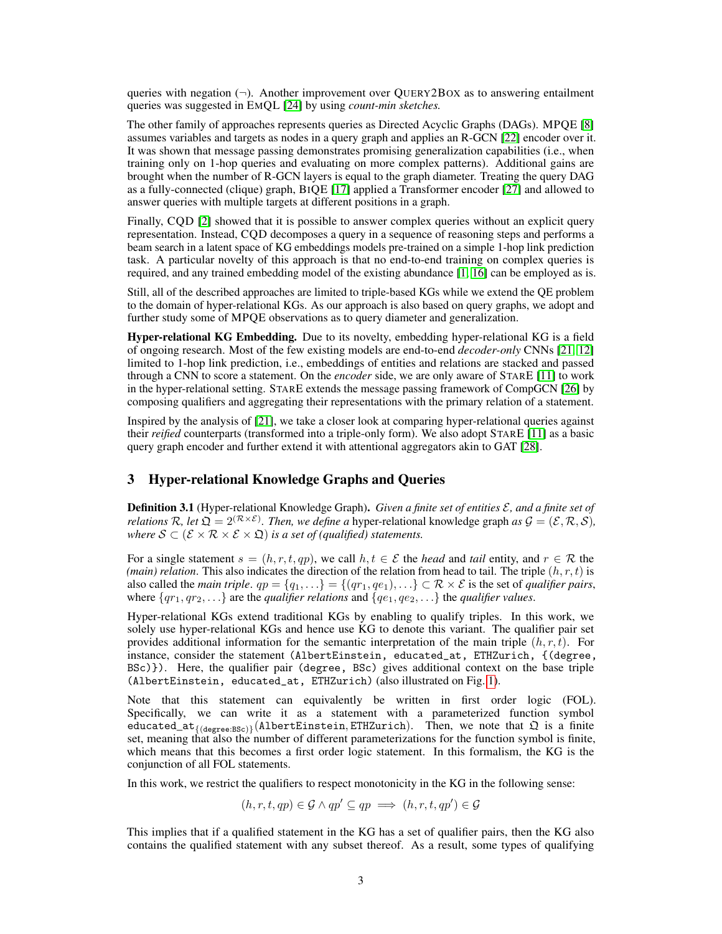queries with negation  $(\neg)$ . Another improvement over OUERY2BOX as to answering entailment queries was suggested in EMQL [\[24\]](#page-10-6) by using *count-min sketches.*

The other family of approaches represents queries as Directed Acyclic Graphs (DAGs). MPQE [\[8\]](#page-9-1) assumes variables and targets as nodes in a query graph and applies an R-GCN [\[22\]](#page-10-7) encoder over it. It was shown that message passing demonstrates promising generalization capabilities (i.e., when training only on 1-hop queries and evaluating on more complex patterns). Additional gains are brought when the number of R-GCN layers is equal to the graph diameter. Treating the query DAG as a fully-connected (clique) graph, BIQE [\[17\]](#page-10-3) applied a Transformer encoder [\[27\]](#page-11-2) and allowed to answer queries with multiple targets at different positions in a graph.

Finally, CQD [\[2\]](#page-9-0) showed that it is possible to answer complex queries without an explicit query representation. Instead, CQD decomposes a query in a sequence of reasoning steps and performs a beam search in a latent space of KG embeddings models pre-trained on a simple 1-hop link prediction task. A particular novelty of this approach is that no end-to-end training on complex queries is required, and any trained embedding model of the existing abundance [\[1,](#page-9-2) [16\]](#page-10-8) can be employed as is.

Still, all of the described approaches are limited to triple-based KGs while we extend the QE problem to the domain of hyper-relational KGs. As our approach is also based on query graphs, we adopt and further study some of MPQE observations as to query diameter and generalization.

Hyper-relational KG Embedding. Due to its novelty, embedding hyper-relational KG is a field of ongoing research. Most of the few existing models are end-to-end *decoder-only* CNNs [\[21,](#page-10-9) [12\]](#page-9-3) limited to 1-hop link prediction, i.e., embeddings of entities and relations are stacked and passed through a CNN to score a statement. On the *encoder* side, we are only aware of STARE [\[11\]](#page-9-4) to work in the hyper-relational setting. STARE extends the message passing framework of CompGCN [\[26\]](#page-10-10) by composing qualifiers and aggregating their representations with the primary relation of a statement.

Inspired by the analysis of [\[21\]](#page-10-9), we take a closer look at comparing hyper-relational queries against their *reified* counterparts (transformed into a triple-only form). We also adopt STARE [\[11\]](#page-9-4) as a basic query graph encoder and further extend it with attentional aggregators akin to GAT [\[28\]](#page-11-3).

## <span id="page-2-0"></span>3 Hyper-relational Knowledge Graphs and Queries

Definition 3.1 (Hyper-relational Knowledge Graph). *Given a finite set of entities* E*, and a finite set of relations*  $\mathcal{R}$ *, let*  $\mathfrak{Q} = 2^{(\mathcal{R} \times \mathcal{E})}$ *. Then, we define a* hyper-relational knowledge graph *as*  $\mathcal{G} = (\mathcal{E}, \mathcal{R}, \mathcal{S})$ *, where*  $S \subset (\mathcal{E} \times \mathcal{R} \times \mathcal{E} \times \mathfrak{Q})$  *is a set of (qualified) statements.* 

For a single statement  $s = (h, r, t, qp)$ , we call  $h, t \in \mathcal{E}$  the *head* and *tail* entity, and  $r \in \mathcal{R}$  the *(main) relation*. This also indicates the direction of the relation from head to tail. The triple  $(h, r, t)$  is also called the *main triple*.  $qp = \{q_1, \ldots\} = \{(qr_1, qq_1), \ldots\} \subset \mathcal{R} \times \mathcal{E}$  is the set of *qualifier pairs*, where  $\{qr_1, qr_2, \ldots\}$  are the *qualifier relations* and  $\{qe_1, qe_2, \ldots\}$  the *qualifier values*.

Hyper-relational KGs extend traditional KGs by enabling to qualify triples. In this work, we solely use hyper-relational KGs and hence use KG to denote this variant. The qualifier pair set provides additional information for the semantic interpretation of the main triple  $(h, r, t)$ . For instance, consider the statement (AlbertEinstein, educated\_at, ETHZurich, {(degree, BSc)}). Here, the qualifier pair (degree, BSc) gives additional context on the base triple (AlbertEinstein, educated\_at, ETHZurich) (also illustrated on Fig. [1\)](#page-1-1).

Note that this statement can equivalently be written in first order logic (FOL). Specifically, we can write it as a statement with a parameterized function symbol educated\_at<sub>{(degree:BSc)</sub>}(AlbertEinstein, ETHZurich). Then, we note that  $\mathfrak Q$  is a finite set, meaning that also the number of different parameterizations for the function symbol is finite, which means that this becomes a first order logic statement. In this formalism, the KG is the conjunction of all FOL statements.

In this work, we restrict the qualifiers to respect monotonicity in the KG in the following sense:

$$
(h, r, t, qp) \in \mathcal{G} \land qp' \subseteq qp \implies (h, r, t, qp') \in \mathcal{G}
$$

This implies that if a qualified statement in the KG has a set of qualifier pairs, then the KG also contains the qualified statement with any subset thereof. As a result, some types of qualifying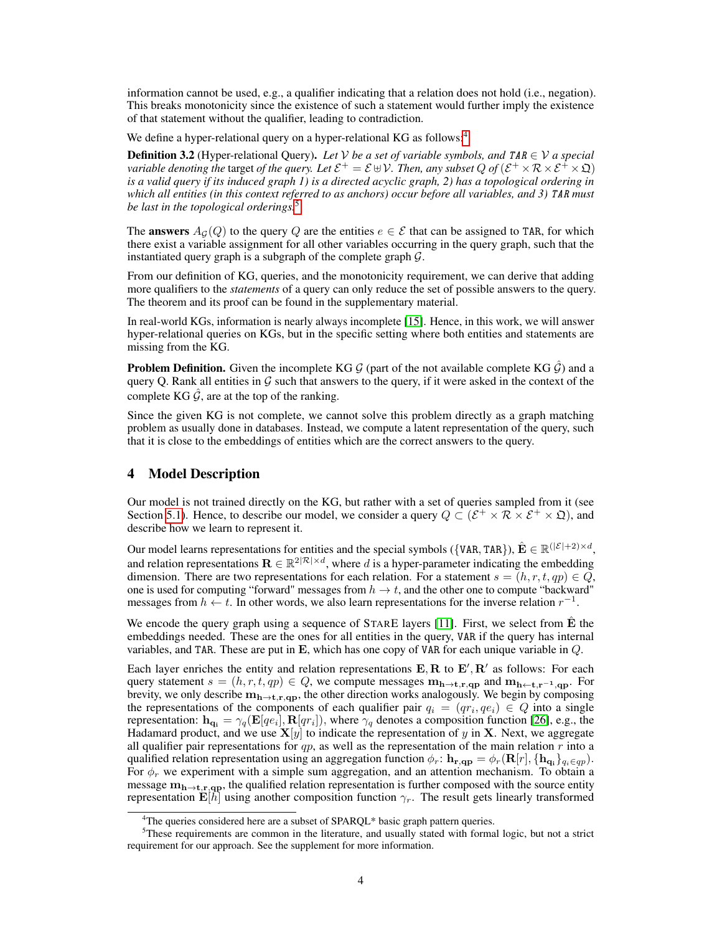information cannot be used, e.g., a qualifier indicating that a relation does not hold (i.e., negation). This breaks monotonicity since the existence of such a statement would further imply the existence of that statement without the qualifier, leading to contradiction.

We define a hyper-relational query on a hyper-relational KG as follows:<sup>[4](#page-3-0)</sup>

**Definition 3.2** (Hyper-relational Query). Let V be a set of variable symbols, and TAR  $\in$  V a special *variable denoting the target of the query. Let*  $\mathcal{E}^+=\mathcal{E} \cup \mathcal{V}$ *. Then, any subset*  $Q$  *of*  $(\mathcal{E}^+\times\mathcal{R}\times\mathcal{E}^+\times\mathfrak{Q})$ *is a valid query if its induced graph 1) is a directed acyclic graph, 2) has a topological ordering in which all entities (in this context referred to as anchors) occur before all variables, and 3)* TAR *must be last in the topological orderings.*[5](#page-3-1)

The **answers**  $A_G(Q)$  to the query Q are the entities  $e \in \mathcal{E}$  that can be assigned to TAR, for which there exist a variable assignment for all other variables occurring in the query graph, such that the instantiated query graph is a subgraph of the complete graph  $\mathcal{G}$ .

From our definition of KG, queries, and the monotonicity requirement, we can derive that adding more qualifiers to the *statements* of a query can only reduce the set of possible answers to the query. The theorem and its proof can be found in the supplementary material.

In real-world KGs, information is nearly always incomplete [\[15\]](#page-10-11). Hence, in this work, we will answer hyper-relational queries on KGs, but in the specific setting where both entities and statements are missing from the KG.

**Problem Definition.** Given the incomplete KG  $\mathcal{G}$  (part of the not available complete KG  $\hat{\mathcal{G}}$ ) and a query Q. Rank all entities in  $\mathcal G$  such that answers to the query, if it were asked in the context of the complete KG  $\hat{G}$ , are at the top of the ranking.

Since the given KG is not complete, we cannot solve this problem directly as a graph matching problem as usually done in databases. Instead, we compute a latent representation of the query, such that it is close to the embeddings of entities which are the correct answers to the query.

## 4 Model Description

Our model is not trained directly on the KG, but rather with a set of queries sampled from it (see Section [5.1\)](#page-4-0). Hence, to describe our model, we consider a query  $Q \subset (\mathcal{E}^+ \times \mathcal{R} \times \mathcal{E}^+ \times \mathfrak{Q})$ , and describe how we learn to represent it.

Our model learns representations for entities and the special symbols ({VAR, TAR}),  $\hat{\mathbf{E}} \in \mathbb{R}^{(|\mathcal{E}|+2) \times d}$ , and relation representations  $\mathbf{R} \in \mathbb{R}^{2|\mathcal{R}| \times d}$ , where d is a hyper-parameter indicating the embedding dimension. There are two representations for each relation. For a statement  $s = (h, r, t, qp) \in Q$ , one is used for computing "forward" messages from  $h \to t$ , and the other one to compute "backward" messages from  $h \leftarrow t$ . In other words, we also learn representations for the inverse relation  $r^{-1}$ .

We encode the query graph using a sequence of STARE layers  $[11]$ . First, we select from E the embeddings needed. These are the ones for all entities in the query, VAR if the query has internal variables, and TAR. These are put in  $E$ , which has one copy of VAR for each unique variable in  $Q$ .

Each layer enriches the entity and relation representations  $E, R$  to  $E', R'$  as follows: For each query statement  $s = (h, r, t, qp) \in Q$ , we compute messages  $m_{h\rightarrow t, r, qp}$  and  $m_{h\leftarrow t, r^{-1}, qp}$ . For brevity, we only describe  $m_{h\to t,r,qp}$ , the other direction works analogously. We begin by composing the representations of the components of each qualifier pair  $q_i = (qr_i, qe_i) \in Q$  into a single representation:  $\mathbf{h}_{\mathbf{q_i}} = \gamma_q(\mathbf{E}[qe_i], \mathbf{R}[qr_i]),$  where  $\gamma_q$  denotes a composition function [\[26\]](#page-10-10), e.g., the Hadamard product, and we use  $X[y]$  to indicate the representation of y in X. Next, we aggregate all qualifier pair representations for  $qp$ , as well as the representation of the main relation  $r$  into a qualified relation representation using an aggregation function  $\phi_r$ :  $\mathbf{h_{r,qp}} = \phi_r(\mathbf{R}[r], \{\mathbf{h_{q_i}}\}_{q_i \in qp})$ . For  $\phi_r$  we experiment with a simple sum aggregation, and an attention mechanism. To obtain a message  $m_{h\rightarrow t,r,qp}$ , the qualified relation representation is further composed with the source entity representation  $\mathbf{E}[\hat{h}]$  using another composition function  $\gamma_r$ . The result gets linearly transformed

<span id="page-3-1"></span><span id="page-3-0"></span><sup>&</sup>lt;sup>4</sup>The queries considered here are a subset of SPARQL\* basic graph pattern queries.

<sup>5</sup>These requirements are common in the literature, and usually stated with formal logic, but not a strict requirement for our approach. See the supplement for more information.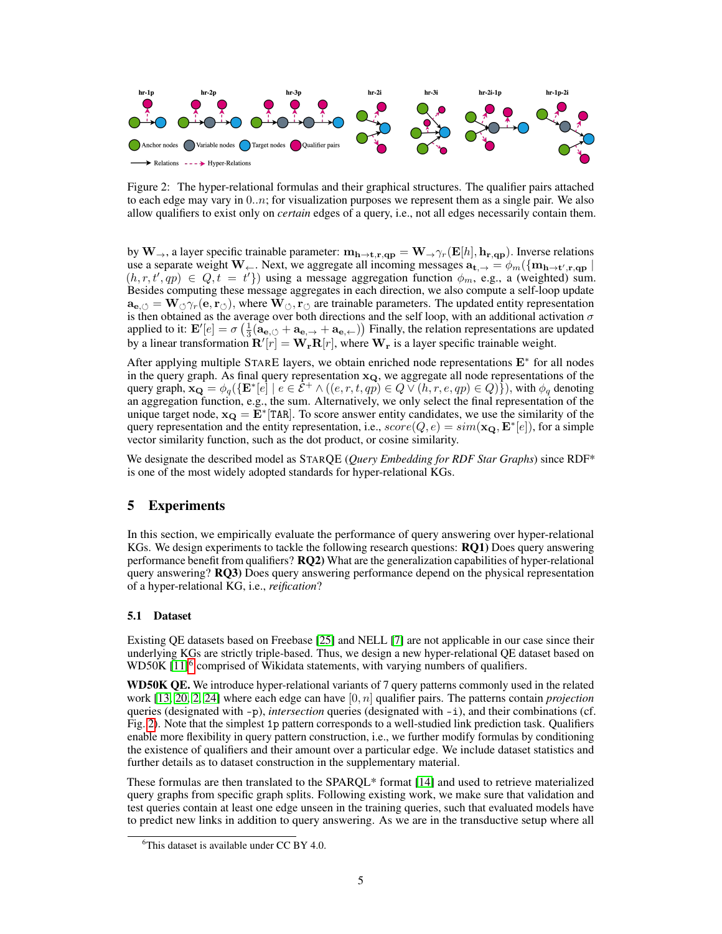

<span id="page-4-2"></span>Figure 2: The hyper-relational formulas and their graphical structures. The qualifier pairs attached to each edge may vary in  $(0..n)$ ; for visualization purposes we represent them as a single pair. We also allow qualifiers to exist only on *certain* edges of a query, i.e., not all edges necessarily contain them.

by  $W_{\rightarrow}$ , a layer specific trainable parameter:  $m_{h\rightarrow t,r,qp} = W_{\rightarrow} \gamma_r(E[h], h_{r,qp})$ . Inverse relations use a separate weight W ←. Next, we aggregate all incoming messages  $\bf{a_{t,→}} = \phi_m(\{m_{h\to t',r,qp} \mid$  $(h, r, t', qp) \in Q, t = t'$ ) using a message aggregation function  $\phi_m$ , e.g., a (weighted) sum. Besides computing these message aggregates in each direction, we also compute a self-loop update  $\mathbf{a}_{\mathbf{e},\lozenge} = \mathbf{W}_{\lozenge} \gamma_r(\mathbf{e}, \mathbf{r}_{\lozenge})$ , where  $\mathbf{W}_{\lozenge}$ ,  $\mathbf{r}_{\lozenge}$  are trainable parameters. The updated entity representation is then obtained as the average over both directions and the self loop, with an additional activation  $\sigma$ applied to it:  $\mathbf{E}'[e] = \sigma \left( \frac{1}{3} (\mathbf{a}_{\mathbf{e}, \circlearrowleft} + \mathbf{a}_{\mathbf{e}, \leftrightarrow}) \right)$  Finally, the relation representations are updated by a linear transformation  $\mathbf{R}'[r] = \mathbf{W}_r \mathbf{R}[r]$ , where  $\mathbf{W}_r$  is a layer specific trainable weight.

After applying multiple STARE layers, we obtain enriched node representations E<sup>∗</sup> for all nodes in the query graph. As final query representation  $x_Q$ , we aggregate all node representations of the query graph,  $\mathbf{x_Q} = \phi_q(\{\mathbf{E}^*[e] \mid e \in \mathcal{E}^+ \land ((e, r, t, qp) \in Q \lor (h, r, e, qp) \in Q)\})$ , with  $\phi_q$  denoting an aggregation function, e.g., the sum. Alternatively, we only select the final representation of the unique target node,  $x_Q = \bar{E}^*$  [TAR]. To score answer entity candidates, we use the similarity of the query representation and the entity representation, i.e.,  $score(Q, e) = sim(\mathbf{x_Q}, \mathbf{E}^*[e])$ , for a simple vector similarity function, such as the dot product, or cosine similarity.

We designate the described model as STARQE (*Query Embedding for RDF Star Graphs*) since RDF\* is one of the most widely adopted standards for hyper-relational KGs.

## 5 Experiments

In this section, we empirically evaluate the performance of query answering over hyper-relational KGs. We design experiments to tackle the following research questions: RQ1) Does query answering performance benefit from qualifiers? RQ2) What are the generalization capabilities of hyper-relational query answering? RQ3) Does query answering performance depend on the physical representation of a hyper-relational KG, i.e., *reification*?

### <span id="page-4-0"></span>5.1 Dataset

Existing QE datasets based on Freebase [\[25\]](#page-10-12) and NELL [\[7\]](#page-9-5) are not applicable in our case since their underlying KGs are strictly triple-based. Thus, we design a new hyper-relational QE dataset based on WD50K [\[11\]](#page-9-4)<sup>[6](#page-4-1)</sup> comprised of Wikidata statements, with varying numbers of qualifiers.

WD50K QE. We introduce hyper-relational variants of 7 query patterns commonly used in the related work [\[13,](#page-10-0) [20,](#page-10-1) [2,](#page-9-0) [24\]](#page-10-6) where each edge can have [0, n] qualifier pairs. The patterns contain *projection* queries (designated with -p), *intersection* queries (designated with -i), and their combinations (cf. Fig. [2\)](#page-4-2). Note that the simplest 1p pattern corresponds to a well-studied link prediction task. Qualifiers enable more flexibility in query pattern construction, i.e., we further modify formulas by conditioning the existence of qualifiers and their amount over a particular edge. We include dataset statistics and further details as to dataset construction in the supplementary material.

These formulas are then translated to the SPARQL\* format [\[14\]](#page-10-5) and used to retrieve materialized query graphs from specific graph splits. Following existing work, we make sure that validation and test queries contain at least one edge unseen in the training queries, such that evaluated models have to predict new links in addition to query answering. As we are in the transductive setup where all

<span id="page-4-1"></span> $6$ This dataset is available under CC BY 4.0.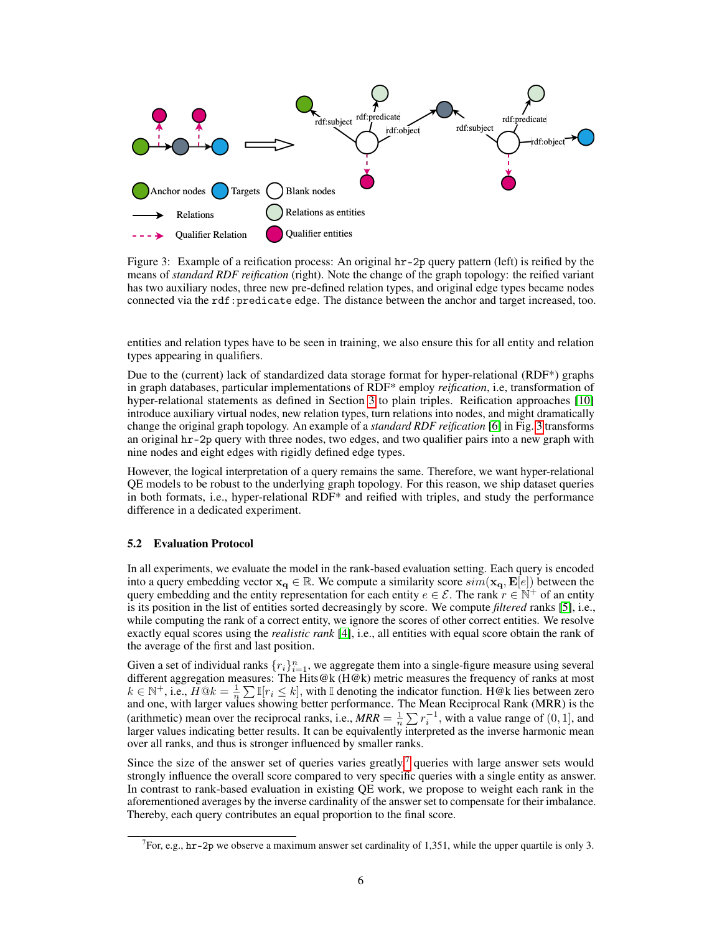

<span id="page-5-0"></span>Figure 3: Example of a reification process: An original hr-2p query pattern (left) is reified by the means of *standard RDF reification* (right). Note the change of the graph topology: the reified variant has two auxiliary nodes, three new pre-defined relation types, and original edge types became nodes connected via the rdf:predicate edge. The distance between the anchor and target increased, too.

entities and relation types have to be seen in training, we also ensure this for all entity and relation types appearing in qualifiers.

Due to the (current) lack of standardized data storage format for hyper-relational (RDF\*) graphs in graph databases, particular implementations of RDF\* employ *reification*, i.e, transformation of hyper-relational statements as defined in Section [3](#page-2-0) to plain triples. Reification approaches [\[10\]](#page-9-6) introduce auxiliary virtual nodes, new relation types, turn relations into nodes, and might dramatically change the original graph topology. An example of a *standard RDF reification* [\[6\]](#page-9-7) in Fig. [3](#page-5-0) transforms an original hr-2p query with three nodes, two edges, and two qualifier pairs into a new graph with nine nodes and eight edges with rigidly defined edge types.

However, the logical interpretation of a query remains the same. Therefore, we want hyper-relational QE models to be robust to the underlying graph topology. For this reason, we ship dataset queries in both formats, i.e., hyper-relational RDF\* and reified with triples, and study the performance difference in a dedicated experiment.

#### 5.2 Evaluation Protocol

In all experiments, we evaluate the model in the rank-based evaluation setting. Each query is encoded into a query embedding vector  $x_q \in \mathbb{R}$ . We compute a similarity score  $sim(\mathbf{x}_q, \mathbf{E}[e])$  between the query embedding and the entity representation for each entity  $e \in \mathcal{E}$ . The rank  $r \in \mathbb{N}^+$  of an entity is its position in the list of entities sorted decreasingly by score. We compute *filtered* ranks [\[5\]](#page-9-8), i.e., while computing the rank of a correct entity, we ignore the scores of other correct entities. We resolve exactly equal scores using the *realistic rank* [\[4\]](#page-9-9), i.e., all entities with equal score obtain the rank of the average of the first and last position.

Given a set of individual ranks  $\{r_i\}_{i=1}^n$ , we aggregate them into a single-figure measure using several different aggregation measures: The Hits@k (H@k) metric measures the frequency of ranks at most  $k \in \mathbb{N}^+$ , i.e.,  $H@k = \frac{1}{n} \sum \mathbb{I}[r_i \leq k]$ , with  $\mathbb{I}$  denoting the indicator function. H@k lies between zero and one, with larger values showing better performance. The Mean Reciprocal Rank (MRR) is the (arithmetic) mean over the reciprocal ranks, i.e.,  $MRR = \frac{1}{n} \sum_{i} r_i^{-1}$ , with a value range of  $(0, 1]$ , and larger values indicating better results. It can be equivalently interpreted as the inverse harmonic mean over all ranks, and thus is stronger influenced by smaller ranks.

Since the size of the answer set of queries varies greatly, $\tau$  queries with large answer sets would strongly influence the overall score compared to very specific queries with a single entity as answer. In contrast to rank-based evaluation in existing QE work, we propose to weight each rank in the aforementioned averages by the inverse cardinality of the answer set to compensate for their imbalance. Thereby, each query contributes an equal proportion to the final score.

<span id="page-5-1"></span><sup>&</sup>lt;sup>7</sup> For, e.g.,  $hr-2p$  we observe a maximum answer set cardinality of 1,351, while the upper quartile is only 3.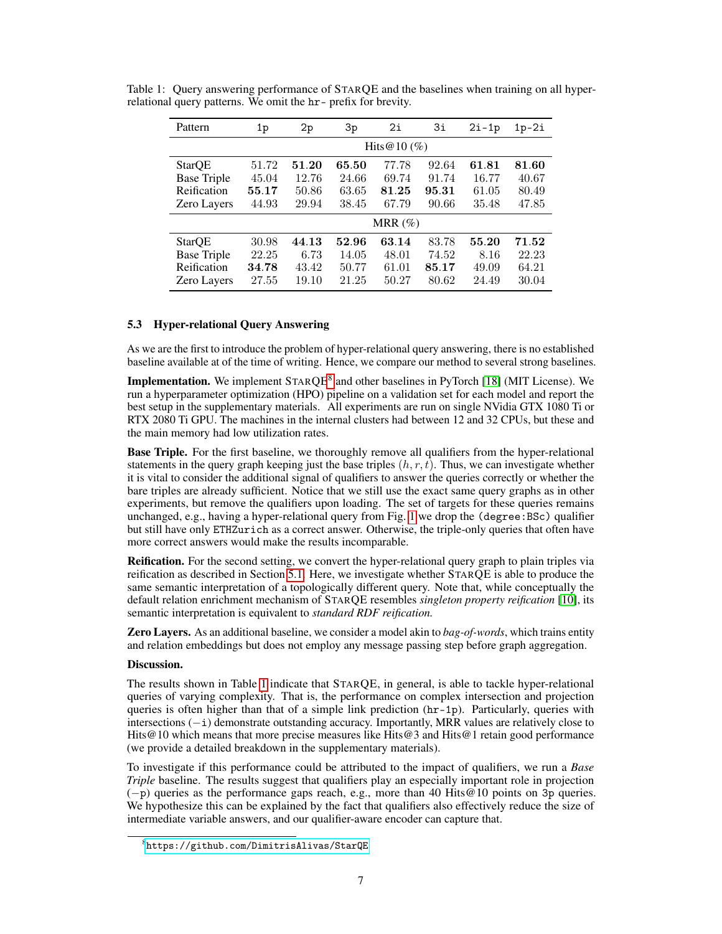<span id="page-6-1"></span>

| Pattern            | 1p    | 2p                                                 | 3p    | 2i              | 3i    | $2i-1p$ | $1p-2i$ |  |
|--------------------|-------|----------------------------------------------------|-------|-----------------|-------|---------|---------|--|
|                    |       |                                                    |       | Hits $@10 (\%)$ |       |         |         |  |
| StarQE             | 51.72 | 51.20                                              | 65.50 | 77.78           | 92.64 | 61.81   | 81.60   |  |
| <b>Base Triple</b> | 45.04 | 12.76                                              | 24.66 | 69.74           | 91.74 | 16.77   | 40.67   |  |
| Reification        | 55.17 | 63.65<br>80.49<br>81.25<br>61.05<br>50.86<br>95.31 |       |                 |       |         |         |  |
| Zero Layers        | 44.93 | 29.94<br>38.45<br>67.79<br>90.66<br>35.48<br>47.85 |       |                 |       |         |         |  |
|                    |       |                                                    |       | MRR $(\%)$      |       |         |         |  |
| StarQE             | 30.98 | 44.13                                              | 52.96 | 63.14           | 83.78 | 55.20   | 71.52   |  |
| <b>Base Triple</b> | 22.25 | 6.73                                               | 14.05 | 48.01           | 74.52 | 8.16    | 22.23   |  |
| Reification        | 34.78 | 43.42                                              | 50.77 | 61.01           | 85.17 | 49.09   | 64.21   |  |
| <b>Zero Layers</b> | 27.55 | 19.10                                              | 21.25 | 50.27           | 80.62 | 24.49   | 30.04   |  |

Table 1: Query answering performance of STARQE and the baselines when training on all hyperrelational query patterns. We omit the hr- prefix for brevity.

#### 5.3 Hyper-relational Query Answering

As we are the first to introduce the problem of hyper-relational query answering, there is no established baseline available at of the time of writing. Hence, we compare our method to several strong baselines.

**Implementation.** We implement  $\text{STARQE}^8$  $\text{STARQE}^8$  and other baselines in PyTorch [\[18\]](#page-10-13) (MIT License). We run a hyperparameter optimization (HPO) pipeline on a validation set for each model and report the best setup in the supplementary materials. All experiments are run on single NVidia GTX 1080 Ti or RTX 2080 Ti GPU. The machines in the internal clusters had between 12 and 32 CPUs, but these and the main memory had low utilization rates.

**Base Triple.** For the first baseline, we thoroughly remove all qualifiers from the hyper-relational statements in the query graph keeping just the base triples  $(h, r, t)$ . Thus, we can investigate whether it is vital to consider the additional signal of qualifiers to answer the queries correctly or whether the bare triples are already sufficient. Notice that we still use the exact same query graphs as in other experiments, but remove the qualifiers upon loading. The set of targets for these queries remains unchanged, e.g., having a hyper-relational query from Fig. [1](#page-1-1) we drop the (degree:BSc) qualifier but still have only ETHZurich as a correct answer. Otherwise, the triple-only queries that often have more correct answers would make the results incomparable.

Reification. For the second setting, we convert the hyper-relational query graph to plain triples via reification as described in Section [5.1.](#page-4-0) Here, we investigate whether STARQE is able to produce the same semantic interpretation of a topologically different query. Note that, while conceptually the default relation enrichment mechanism of STARQE resembles *singleton property reification* [\[10\]](#page-9-6), its semantic interpretation is equivalent to *standard RDF reification.*

Zero Layers. As an additional baseline, we consider a model akin to *bag-of-words*, which trains entity and relation embeddings but does not employ any message passing step before graph aggregation.

### Discussion.

The results shown in Table [1](#page-6-1) indicate that STARQE, in general, is able to tackle hyper-relational queries of varying complexity. That is, the performance on complex intersection and projection queries is often higher than that of a simple link prediction  $(hr-1p)$ . Particularly, queries with intersections (−i) demonstrate outstanding accuracy. Importantly, MRR values are relatively close to Hits@10 which means that more precise measures like Hits@3 and Hits@1 retain good performance (we provide a detailed breakdown in the supplementary materials).

To investigate if this performance could be attributed to the impact of qualifiers, we run a *Base Triple* baseline. The results suggest that qualifiers play an especially important role in projection (−p) queries as the performance gaps reach, e.g., more than 40 Hits@10 points on 3p queries. We hypothesize this can be explained by the fact that qualifiers also effectively reduce the size of intermediate variable answers, and our qualifier-aware encoder can capture that.

<span id="page-6-0"></span><sup>8</sup> <https://github.com/DimitrisAlivas/StarQE>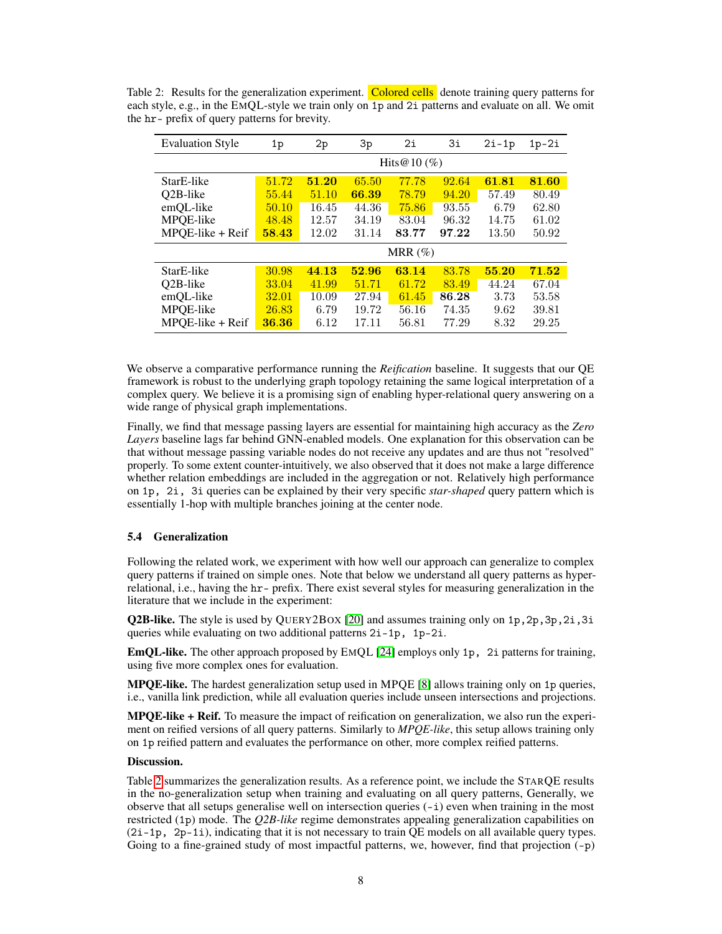| <b>Evaluation Style</b> | 1p    | 2p    | 3p    | 2i              | Зi    | $2i-1p$ | $1p-2i$ |
|-------------------------|-------|-------|-------|-----------------|-------|---------|---------|
|                         |       |       |       | Hits $@10 (\%)$ |       |         |         |
| StarE-like              | 51.72 | 51.20 | 65.50 | 77.78           | 92.64 | 61.81   | 81.60   |
| O <sub>2</sub> B-like   | 55.44 | 51.10 | 66.39 | 78.79           | 94.20 | 57.49   | 80.49   |
| emQL-like               | 50.10 | 16.45 | 44.36 | 75.86           | 93.55 | 6.79    | 62.80   |
| MPQE-like               | 48.48 | 12.57 | 34.19 | 83.04           | 96.32 | 14.75   | 61.02   |
| $MPOE-like + Reif$      | 58.43 | 12.02 | 31.14 | 83.77           | 97.22 | 13.50   | 50.92   |
|                         |       |       |       | MRR $(\%)$      |       |         |         |
| StarE-like              | 30.98 | 44.13 | 52.96 | 63.14           | 83.78 | 55.20   | 71.52   |
| O <sub>2</sub> B-like   | 33.04 | 41.99 | 51.71 | 61.72           | 83.49 | 44.24   | 67.04   |
| emOL-like               | 32.01 | 10.09 | 27.94 | 61.45           | 86.28 | 3.73    | 53.58   |
| MPQE-like               | 26.83 | 6.79  | 19.72 | 56.16           | 74.35 | 9.62    | 39.81   |
| $MPOE-like + Reif$      | 36.36 | 6.12  | 17.11 | 56.81           | 77.29 | 8.32    | 29.25   |

<span id="page-7-0"></span>Table 2: Results for the generalization experiment. Colored cells denote training query patterns for each style, e.g., in the EMQL-style we train only on 1p and 2i patterns and evaluate on all. We omit the hr- prefix of query patterns for brevity.

We observe a comparative performance running the *Reification* baseline. It suggests that our QE framework is robust to the underlying graph topology retaining the same logical interpretation of a complex query. We believe it is a promising sign of enabling hyper-relational query answering on a wide range of physical graph implementations.

Finally, we find that message passing layers are essential for maintaining high accuracy as the *Zero Layers* baseline lags far behind GNN-enabled models. One explanation for this observation can be that without message passing variable nodes do not receive any updates and are thus not "resolved" properly. To some extent counter-intuitively, we also observed that it does not make a large difference whether relation embeddings are included in the aggregation or not. Relatively high performance on 1p, 2i, 3i queries can be explained by their very specific *star-shaped* query pattern which is essentially 1-hop with multiple branches joining at the center node.

#### 5.4 Generalization

Following the related work, we experiment with how well our approach can generalize to complex query patterns if trained on simple ones. Note that below we understand all query patterns as hyperrelational, i.e., having the hr- prefix. There exist several styles for measuring generalization in the literature that we include in the experiment:

**Q2B-like.** The style is used by OUERY2BOX [\[20\]](#page-10-1) and assumes training only on 1p,  $2p$ ,  $3p$ ,  $2i$ ,  $3i$ queries while evaluating on two additional patterns 2i-1p, 1p-2i.

EmQL-like. The other approach proposed by EMQL [\[24\]](#page-10-6) employs only 1p, 2i patterns for training, using five more complex ones for evaluation.

**MPQE-like.** The hardest generalization setup used in MPQE  $[8]$  allows training only on 1p queries, i.e., vanilla link prediction, while all evaluation queries include unseen intersections and projections.

**MPOE-like**  $+$  **Reif.** To measure the impact of reification on generalization, we also run the experiment on reified versions of all query patterns. Similarly to *MPQE-like*, this setup allows training only on 1p reified pattern and evaluates the performance on other, more complex reified patterns.

#### Discussion.

Table [2](#page-7-0) summarizes the generalization results. As a reference point, we include the STARQE results in the no-generalization setup when training and evaluating on all query patterns, Generally, we observe that all setups generalise well on intersection queries  $(-i)$  even when training in the most restricted (1p) mode. The *Q2B-like* regime demonstrates appealing generalization capabilities on (2i-1p, 2p-1i), indicating that it is not necessary to train QE models on all available query types. Going to a fine-grained study of most impactful patterns, we, however, find that projection  $(-p)$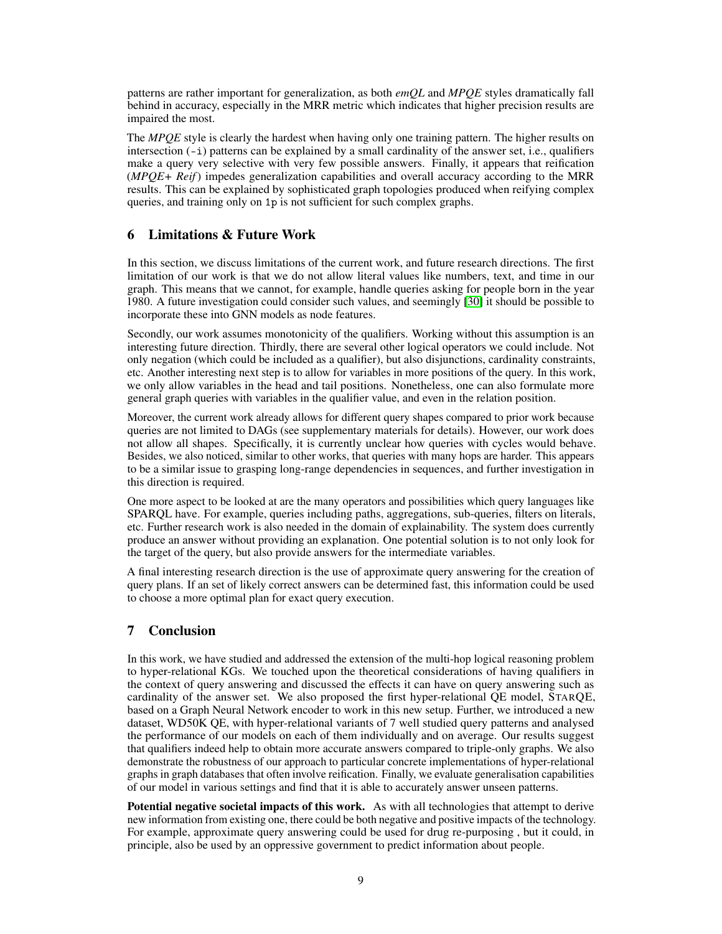patterns are rather important for generalization, as both *emQL* and *MPQE* styles dramatically fall behind in accuracy, especially in the MRR metric which indicates that higher precision results are impaired the most.

The *MPQE* style is clearly the hardest when having only one training pattern. The higher results on intersection  $(-i)$  patterns can be explained by a small cardinality of the answer set, i.e., qualifiers make a query very selective with very few possible answers. Finally, it appears that reification (*MPQE+ Reif*) impedes generalization capabilities and overall accuracy according to the MRR results. This can be explained by sophisticated graph topologies produced when reifying complex queries, and training only on 1p is not sufficient for such complex graphs.

## 6 Limitations & Future Work

In this section, we discuss limitations of the current work, and future research directions. The first limitation of our work is that we do not allow literal values like numbers, text, and time in our graph. This means that we cannot, for example, handle queries asking for people born in the year 1980. A future investigation could consider such values, and seemingly [\[30\]](#page-11-4) it should be possible to incorporate these into GNN models as node features.

Secondly, our work assumes monotonicity of the qualifiers. Working without this assumption is an interesting future direction. Thirdly, there are several other logical operators we could include. Not only negation (which could be included as a qualifier), but also disjunctions, cardinality constraints, etc. Another interesting next step is to allow for variables in more positions of the query. In this work, we only allow variables in the head and tail positions. Nonetheless, one can also formulate more general graph queries with variables in the qualifier value, and even in the relation position.

Moreover, the current work already allows for different query shapes compared to prior work because queries are not limited to DAGs (see supplementary materials for details). However, our work does not allow all shapes. Specifically, it is currently unclear how queries with cycles would behave. Besides, we also noticed, similar to other works, that queries with many hops are harder. This appears to be a similar issue to grasping long-range dependencies in sequences, and further investigation in this direction is required.

One more aspect to be looked at are the many operators and possibilities which query languages like SPARQL have. For example, queries including paths, aggregations, sub-queries, filters on literals, etc. Further research work is also needed in the domain of explainability. The system does currently produce an answer without providing an explanation. One potential solution is to not only look for the target of the query, but also provide answers for the intermediate variables.

A final interesting research direction is the use of approximate query answering for the creation of query plans. If an set of likely correct answers can be determined fast, this information could be used to choose a more optimal plan for exact query execution.

## 7 Conclusion

In this work, we have studied and addressed the extension of the multi-hop logical reasoning problem to hyper-relational KGs. We touched upon the theoretical considerations of having qualifiers in the context of query answering and discussed the effects it can have on query answering such as cardinality of the answer set. We also proposed the first hyper-relational QE model, STARQE, based on a Graph Neural Network encoder to work in this new setup. Further, we introduced a new dataset, WD50K QE, with hyper-relational variants of 7 well studied query patterns and analysed the performance of our models on each of them individually and on average. Our results suggest that qualifiers indeed help to obtain more accurate answers compared to triple-only graphs. We also demonstrate the robustness of our approach to particular concrete implementations of hyper-relational graphs in graph databases that often involve reification. Finally, we evaluate generalisation capabilities of our model in various settings and find that it is able to accurately answer unseen patterns.

Potential negative societal impacts of this work. As with all technologies that attempt to derive new information from existing one, there could be both negative and positive impacts of the technology. For example, approximate query answering could be used for drug re-purposing , but it could, in principle, also be used by an oppressive government to predict information about people.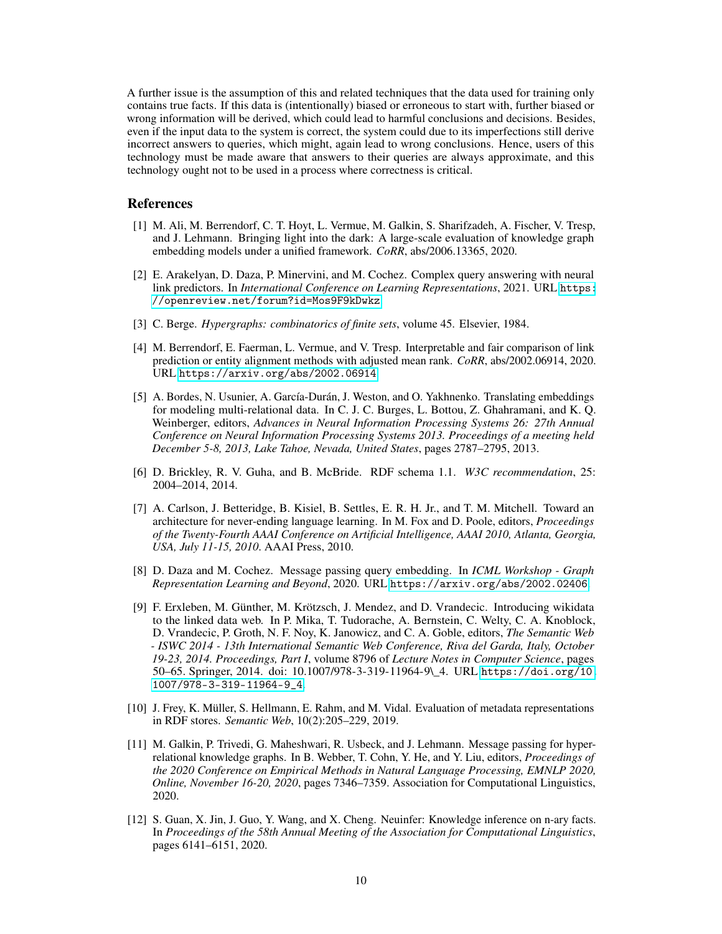A further issue is the assumption of this and related techniques that the data used for training only contains true facts. If this data is (intentionally) biased or erroneous to start with, further biased or wrong information will be derived, which could lead to harmful conclusions and decisions. Besides, even if the input data to the system is correct, the system could due to its imperfections still derive incorrect answers to queries, which might, again lead to wrong conclusions. Hence, users of this technology must be made aware that answers to their queries are always approximate, and this technology ought not to be used in a process where correctness is critical.

### References

- <span id="page-9-2"></span>[1] M. Ali, M. Berrendorf, C. T. Hoyt, L. Vermue, M. Galkin, S. Sharifzadeh, A. Fischer, V. Tresp, and J. Lehmann. Bringing light into the dark: A large-scale evaluation of knowledge graph embedding models under a unified framework. *CoRR*, abs/2006.13365, 2020.
- <span id="page-9-0"></span>[2] E. Arakelyan, D. Daza, P. Minervini, and M. Cochez. Complex query answering with neural link predictors. In *International Conference on Learning Representations*, 2021. URL [https:](https://openreview.net/forum?id=Mos9F9kDwkz) [//openreview.net/forum?id=Mos9F9kDwkz](https://openreview.net/forum?id=Mos9F9kDwkz).
- <span id="page-9-11"></span>[3] C. Berge. *Hypergraphs: combinatorics of finite sets*, volume 45. Elsevier, 1984.
- <span id="page-9-9"></span>[4] M. Berrendorf, E. Faerman, L. Vermue, and V. Tresp. Interpretable and fair comparison of link prediction or entity alignment methods with adjusted mean rank. *CoRR*, abs/2002.06914, 2020. URL <https://arxiv.org/abs/2002.06914>.
- <span id="page-9-8"></span>[5] A. Bordes, N. Usunier, A. García-Durán, J. Weston, and O. Yakhnenko. Translating embeddings for modeling multi-relational data. In C. J. C. Burges, L. Bottou, Z. Ghahramani, and K. Q. Weinberger, editors, *Advances in Neural Information Processing Systems 26: 27th Annual Conference on Neural Information Processing Systems 2013. Proceedings of a meeting held December 5-8, 2013, Lake Tahoe, Nevada, United States*, pages 2787–2795, 2013.
- <span id="page-9-7"></span>[6] D. Brickley, R. V. Guha, and B. McBride. RDF schema 1.1. *W3C recommendation*, 25: 2004–2014, 2014.
- <span id="page-9-5"></span>[7] A. Carlson, J. Betteridge, B. Kisiel, B. Settles, E. R. H. Jr., and T. M. Mitchell. Toward an architecture for never-ending language learning. In M. Fox and D. Poole, editors, *Proceedings of the Twenty-Fourth AAAI Conference on Artificial Intelligence, AAAI 2010, Atlanta, Georgia, USA, July 11-15, 2010*. AAAI Press, 2010.
- <span id="page-9-1"></span>[8] D. Daza and M. Cochez. Message passing query embedding. In *ICML Workshop - Graph Representation Learning and Beyond*, 2020. URL <https://arxiv.org/abs/2002.02406>.
- <span id="page-9-10"></span>[9] F. Erxleben, M. Günther, M. Krötzsch, J. Mendez, and D. Vrandecic. Introducing wikidata to the linked data web. In P. Mika, T. Tudorache, A. Bernstein, C. Welty, C. A. Knoblock, D. Vrandecic, P. Groth, N. F. Noy, K. Janowicz, and C. A. Goble, editors, *The Semantic Web - ISWC 2014 - 13th International Semantic Web Conference, Riva del Garda, Italy, October 19-23, 2014. Proceedings, Part I*, volume 8796 of *Lecture Notes in Computer Science*, pages 50–65. Springer, 2014. doi: 10.1007/978-3-319-11964-9\\_4. URL [https://doi.org/10.](https://doi.org/10.1007/978-3-319-11964-9_4) [1007/978-3-319-11964-9\\_4](https://doi.org/10.1007/978-3-319-11964-9_4).
- <span id="page-9-6"></span>[10] J. Frey, K. Müller, S. Hellmann, E. Rahm, and M. Vidal. Evaluation of metadata representations in RDF stores. *Semantic Web*, 10(2):205–229, 2019.
- <span id="page-9-4"></span>[11] M. Galkin, P. Trivedi, G. Maheshwari, R. Usbeck, and J. Lehmann. Message passing for hyperrelational knowledge graphs. In B. Webber, T. Cohn, Y. He, and Y. Liu, editors, *Proceedings of the 2020 Conference on Empirical Methods in Natural Language Processing, EMNLP 2020, Online, November 16-20, 2020*, pages 7346–7359. Association for Computational Linguistics, 2020.
- <span id="page-9-3"></span>[12] S. Guan, X. Jin, J. Guo, Y. Wang, and X. Cheng. Neuinfer: Knowledge inference on n-ary facts. In *Proceedings of the 58th Annual Meeting of the Association for Computational Linguistics*, pages 6141–6151, 2020.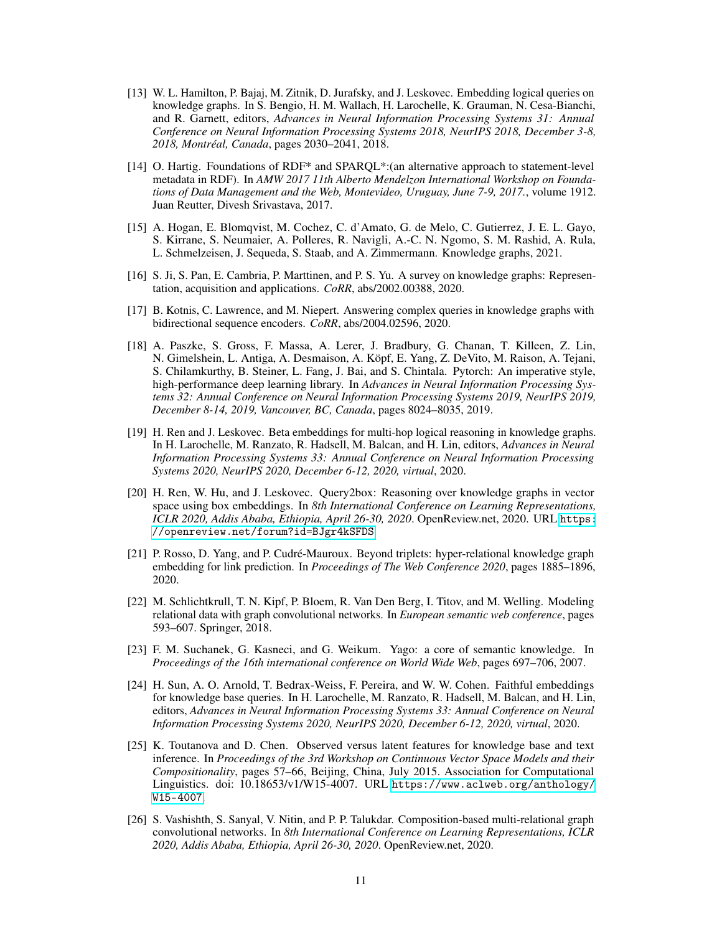- <span id="page-10-0"></span>[13] W. L. Hamilton, P. Bajaj, M. Zitnik, D. Jurafsky, and J. Leskovec. Embedding logical queries on knowledge graphs. In S. Bengio, H. M. Wallach, H. Larochelle, K. Grauman, N. Cesa-Bianchi, and R. Garnett, editors, *Advances in Neural Information Processing Systems 31: Annual Conference on Neural Information Processing Systems 2018, NeurIPS 2018, December 3-8, 2018, Montréal, Canada*, pages 2030–2041, 2018.
- <span id="page-10-5"></span>[14] O. Hartig. Foundations of RDF\* and SPARQL\*:(an alternative approach to statement-level metadata in RDF). In *AMW 2017 11th Alberto Mendelzon International Workshop on Foundations of Data Management and the Web, Montevideo, Uruguay, June 7-9, 2017.*, volume 1912. Juan Reutter, Divesh Srivastava, 2017.
- <span id="page-10-11"></span>[15] A. Hogan, E. Blomqvist, M. Cochez, C. d'Amato, G. de Melo, C. Gutierrez, J. E. L. Gayo, S. Kirrane, S. Neumaier, A. Polleres, R. Navigli, A.-C. N. Ngomo, S. M. Rashid, A. Rula, L. Schmelzeisen, J. Sequeda, S. Staab, and A. Zimmermann. Knowledge graphs, 2021.
- <span id="page-10-8"></span>[16] S. Ji, S. Pan, E. Cambria, P. Marttinen, and P. S. Yu. A survey on knowledge graphs: Representation, acquisition and applications. *CoRR*, abs/2002.00388, 2020.
- <span id="page-10-3"></span>[17] B. Kotnis, C. Lawrence, and M. Niepert. Answering complex queries in knowledge graphs with bidirectional sequence encoders. *CoRR*, abs/2004.02596, 2020.
- <span id="page-10-13"></span>[18] A. Paszke, S. Gross, F. Massa, A. Lerer, J. Bradbury, G. Chanan, T. Killeen, Z. Lin, N. Gimelshein, L. Antiga, A. Desmaison, A. Köpf, E. Yang, Z. DeVito, M. Raison, A. Tejani, S. Chilamkurthy, B. Steiner, L. Fang, J. Bai, and S. Chintala. Pytorch: An imperative style, high-performance deep learning library. In *Advances in Neural Information Processing Systems 32: Annual Conference on Neural Information Processing Systems 2019, NeurIPS 2019, December 8-14, 2019, Vancouver, BC, Canada*, pages 8024–8035, 2019.
- <span id="page-10-2"></span>[19] H. Ren and J. Leskovec. Beta embeddings for multi-hop logical reasoning in knowledge graphs. In H. Larochelle, M. Ranzato, R. Hadsell, M. Balcan, and H. Lin, editors, *Advances in Neural Information Processing Systems 33: Annual Conference on Neural Information Processing Systems 2020, NeurIPS 2020, December 6-12, 2020, virtual*, 2020.
- <span id="page-10-1"></span>[20] H. Ren, W. Hu, and J. Leskovec. Query2box: Reasoning over knowledge graphs in vector space using box embeddings. In *8th International Conference on Learning Representations, ICLR 2020, Addis Ababa, Ethiopia, April 26-30, 2020*. OpenReview.net, 2020. URL [https:](https://openreview.net/forum?id=BJgr4kSFDS) [//openreview.net/forum?id=BJgr4kSFDS](https://openreview.net/forum?id=BJgr4kSFDS).
- <span id="page-10-9"></span>[21] P. Rosso, D. Yang, and P. Cudré-Mauroux. Beyond triplets: hyper-relational knowledge graph embedding for link prediction. In *Proceedings of The Web Conference 2020*, pages 1885–1896, 2020.
- <span id="page-10-7"></span>[22] M. Schlichtkrull, T. N. Kipf, P. Bloem, R. Van Den Berg, I. Titov, and M. Welling. Modeling relational data with graph convolutional networks. In *European semantic web conference*, pages 593–607. Springer, 2018.
- <span id="page-10-4"></span>[23] F. M. Suchanek, G. Kasneci, and G. Weikum. Yago: a core of semantic knowledge. In *Proceedings of the 16th international conference on World Wide Web*, pages 697–706, 2007.
- <span id="page-10-6"></span>[24] H. Sun, A. O. Arnold, T. Bedrax-Weiss, F. Pereira, and W. W. Cohen. Faithful embeddings for knowledge base queries. In H. Larochelle, M. Ranzato, R. Hadsell, M. Balcan, and H. Lin, editors, *Advances in Neural Information Processing Systems 33: Annual Conference on Neural Information Processing Systems 2020, NeurIPS 2020, December 6-12, 2020, virtual*, 2020.
- <span id="page-10-12"></span>[25] K. Toutanova and D. Chen. Observed versus latent features for knowledge base and text inference. In *Proceedings of the 3rd Workshop on Continuous Vector Space Models and their Compositionality*, pages 57–66, Beijing, China, July 2015. Association for Computational Linguistics. doi: 10.18653/v1/W15-4007. URL [https://www.aclweb.org/anthology/](https://www.aclweb.org/anthology/W15-4007) [W15-4007](https://www.aclweb.org/anthology/W15-4007).
- <span id="page-10-10"></span>[26] S. Vashishth, S. Sanyal, V. Nitin, and P. P. Talukdar. Composition-based multi-relational graph convolutional networks. In *8th International Conference on Learning Representations, ICLR 2020, Addis Ababa, Ethiopia, April 26-30, 2020*. OpenReview.net, 2020.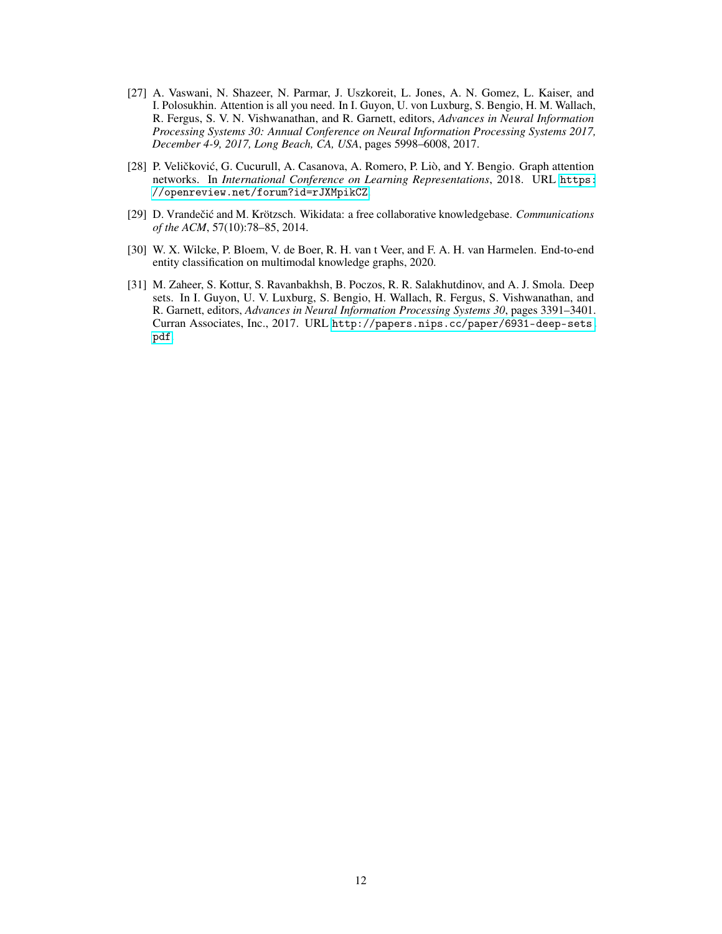- <span id="page-11-2"></span>[27] A. Vaswani, N. Shazeer, N. Parmar, J. Uszkoreit, L. Jones, A. N. Gomez, L. Kaiser, and I. Polosukhin. Attention is all you need. In I. Guyon, U. von Luxburg, S. Bengio, H. M. Wallach, R. Fergus, S. V. N. Vishwanathan, and R. Garnett, editors, *Advances in Neural Information Processing Systems 30: Annual Conference on Neural Information Processing Systems 2017, December 4-9, 2017, Long Beach, CA, USA*, pages 5998–6008, 2017.
- <span id="page-11-3"></span>[28] P. Veličković, G. Cucurull, A. Casanova, A. Romero, P. Liò, and Y. Bengio. Graph attention networks. In *International Conference on Learning Representations*, 2018. URL [https:](https://openreview.net/forum?id=rJXMpikCZ) [//openreview.net/forum?id=rJXMpikCZ](https://openreview.net/forum?id=rJXMpikCZ).
- <span id="page-11-0"></span>[29] D. Vrandečić and M. Krötzsch. Wikidata: a free collaborative knowledgebase. *Communications of the ACM*, 57(10):78–85, 2014.
- <span id="page-11-4"></span>[30] W. X. Wilcke, P. Bloem, V. de Boer, R. H. van t Veer, and F. A. H. van Harmelen. End-to-end entity classification on multimodal knowledge graphs, 2020.
- <span id="page-11-1"></span>[31] M. Zaheer, S. Kottur, S. Ravanbakhsh, B. Poczos, R. R. Salakhutdinov, and A. J. Smola. Deep sets. In I. Guyon, U. V. Luxburg, S. Bengio, H. Wallach, R. Fergus, S. Vishwanathan, and R. Garnett, editors, *Advances in Neural Information Processing Systems 30*, pages 3391–3401. Curran Associates, Inc., 2017. URL [http://papers.nips.cc/paper/6931-deep-sets.](http://papers.nips.cc/paper/6931-deep-sets.pdf) [pdf](http://papers.nips.cc/paper/6931-deep-sets.pdf).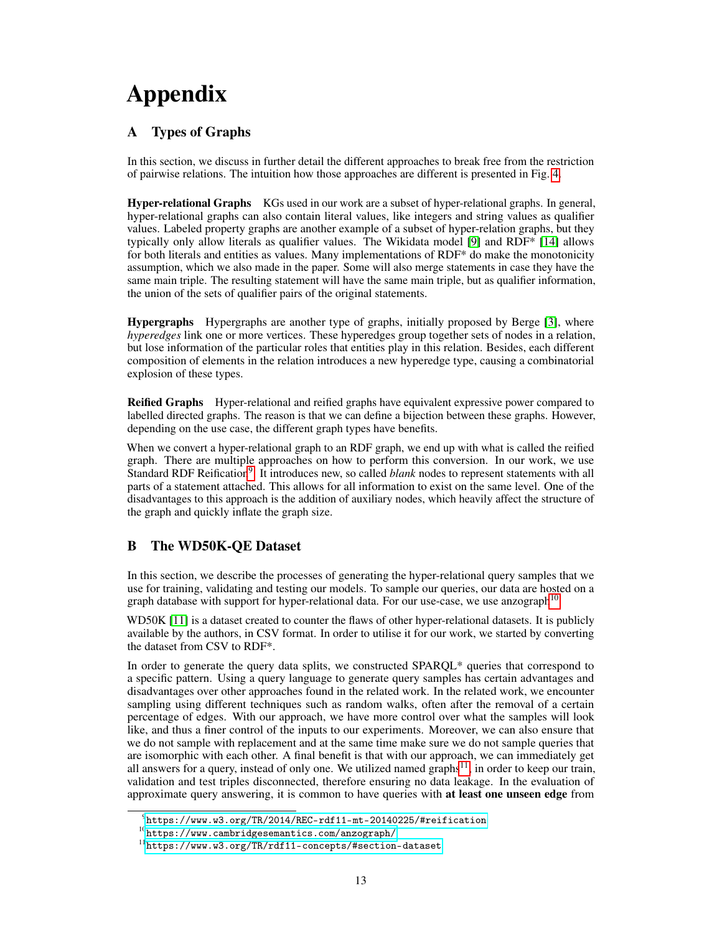# Appendix

## A Types of Graphs

In this section, we discuss in further detail the different approaches to break free from the restriction of pairwise relations. The intuition how those approaches are different is presented in Fig. [4.](#page-13-0)

Hyper-relational Graphs KGs used in our work are a subset of hyper-relational graphs. In general, hyper-relational graphs can also contain literal values, like integers and string values as qualifier values. Labeled property graphs are another example of a subset of hyper-relation graphs, but they typically only allow literals as qualifier values. The Wikidata model [\[9\]](#page-9-10) and RDF\* [\[14\]](#page-10-5) allows for both literals and entities as values. Many implementations of RDF\* do make the monotonicity assumption, which we also made in the paper. Some will also merge statements in case they have the same main triple. The resulting statement will have the same main triple, but as qualifier information, the union of the sets of qualifier pairs of the original statements.

Hypergraphs Hypergraphs are another type of graphs, initially proposed by Berge [\[3\]](#page-9-11), where *hyperedges* link one or more vertices. These hyperedges group together sets of nodes in a relation, but lose information of the particular roles that entities play in this relation. Besides, each different composition of elements in the relation introduces a new hyperedge type, causing a combinatorial explosion of these types.

Reified Graphs Hyper-relational and reified graphs have equivalent expressive power compared to labelled directed graphs. The reason is that we can define a bijection between these graphs. However, depending on the use case, the different graph types have benefits.

When we convert a hyper-relational graph to an RDF graph, we end up with what is called the reified graph. There are multiple approaches on how to perform this conversion. In our work, we use Standard RDF Reification<sup>[9](#page-12-0)</sup>. It introduces new, so called *blank* nodes to represent statements with all parts of a statement attached. This allows for all information to exist on the same level. One of the disadvantages to this approach is the addition of auxiliary nodes, which heavily affect the structure of the graph and quickly inflate the graph size.

## B The WD50K-QE Dataset

In this section, we describe the processes of generating the hyper-relational query samples that we use for training, validating and testing our models. To sample our queries, our data are hosted on a graph database with support for hyper-relational data. For our use-case, we use anzograph<sup>[10](#page-12-1)</sup>

WD50K [\[11\]](#page-9-4) is a dataset created to counter the flaws of other hyper-relational datasets. It is publicly available by the authors, in CSV format. In order to utilise it for our work, we started by converting the dataset from CSV to RDF\*.

In order to generate the query data splits, we constructed SPARQL\* queries that correspond to a specific pattern. Using a query language to generate query samples has certain advantages and disadvantages over other approaches found in the related work. In the related work, we encounter sampling using different techniques such as random walks, often after the removal of a certain percentage of edges. With our approach, we have more control over what the samples will look like, and thus a finer control of the inputs to our experiments. Moreover, we can also ensure that we do not sample with replacement and at the same time make sure we do not sample queries that are isomorphic with each other. A final benefit is that with our approach, we can immediately get all answers for a query, instead of only one. We utilized named graphs $11$ , in order to keep our train, validation and test triples disconnected, therefore ensuring no data leakage. In the evaluation of approximate query answering, it is common to have queries with at least one unseen edge from

<span id="page-12-0"></span> $^9$ <https://www.w3.org/TR/2014/REC-rdf11-mt-20140225/#reification>

<span id="page-12-1"></span> $^{10}\mathrm{htips://www.cambridge semantics.com/anzograph/}$ 

<span id="page-12-2"></span><sup>11</sup><https://www.w3.org/TR/rdf11-concepts/#section-dataset>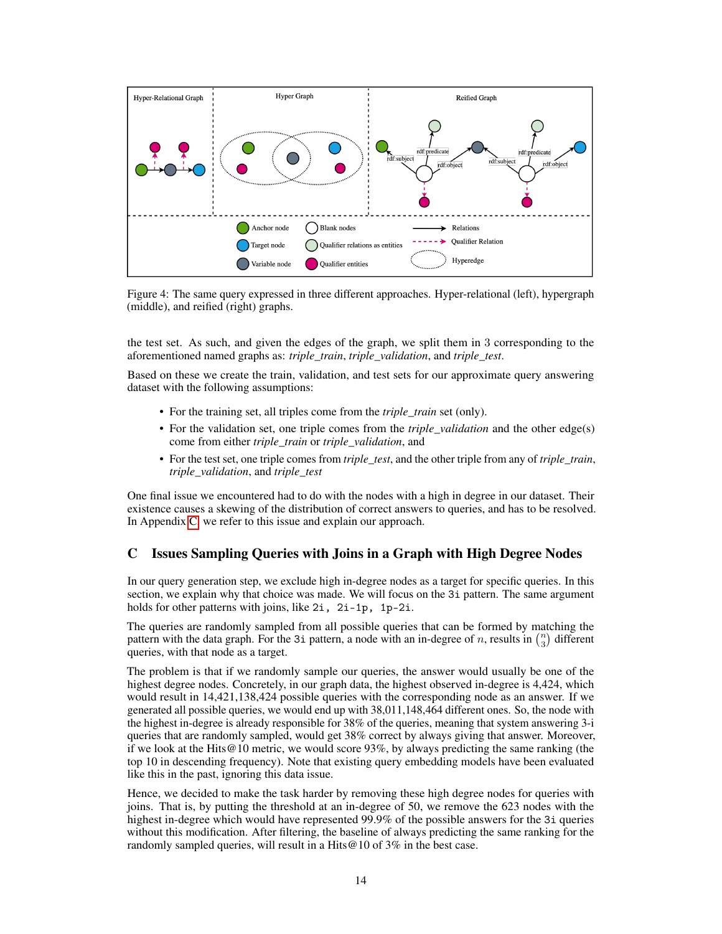

<span id="page-13-0"></span>Figure 4: The same query expressed in three different approaches. Hyper-relational (left), hypergraph (middle), and reified (right) graphs.

the test set. As such, and given the edges of the graph, we split them in 3 corresponding to the aforementioned named graphs as: *triple\_train*, *triple\_validation*, and *triple\_test*.

Based on these we create the train, validation, and test sets for our approximate query answering dataset with the following assumptions:

- For the training set, all triples come from the *triple\_train* set (only).
- For the validation set, one triple comes from the *triple\_validation* and the other edge(s) come from either *triple\_train* or *triple\_validation*, and
- For the test set, one triple comes from *triple\_test*, and the other triple from any of *triple\_train*, *triple\_validation*, and *triple\_test*

One final issue we encountered had to do with the nodes with a high in degree in our dataset. Their existence causes a skewing of the distribution of correct answers to queries, and has to be resolved. In Appendix [C,](#page-13-1) we refer to this issue and explain our approach.

## <span id="page-13-1"></span>C Issues Sampling Queries with Joins in a Graph with High Degree Nodes

In our query generation step, we exclude high in-degree nodes as a target for specific queries. In this section, we explain why that choice was made. We will focus on the 3i pattern. The same argument holds for other patterns with joins, like 2*i*, 2*i*-1*p*, 1*p*-2*i*.

The queries are randomly sampled from all possible queries that can be formed by matching the pattern with the data graph. For the 3i pattern, a node with an in-degree of n, results in  $\binom{n}{3}$  different queries, with that node as a target.

The problem is that if we randomly sample our queries, the answer would usually be one of the highest degree nodes. Concretely, in our graph data, the highest observed in-degree is 4,424, which would result in 14,421,138,424 possible queries with the corresponding node as an answer. If we generated all possible queries, we would end up with 38,011,148,464 different ones. So, the node with the highest in-degree is already responsible for 38% of the queries, meaning that system answering 3-i queries that are randomly sampled, would get 38% correct by always giving that answer. Moreover, if we look at the Hits@10 metric, we would score 93%, by always predicting the same ranking (the top 10 in descending frequency). Note that existing query embedding models have been evaluated like this in the past, ignoring this data issue.

Hence, we decided to make the task harder by removing these high degree nodes for queries with joins. That is, by putting the threshold at an in-degree of 50, we remove the 623 nodes with the highest in-degree which would have represented 99.9% of the possible answers for the 3i queries without this modification. After filtering, the baseline of always predicting the same ranking for the randomly sampled queries, will result in a Hits@10 of 3% in the best case.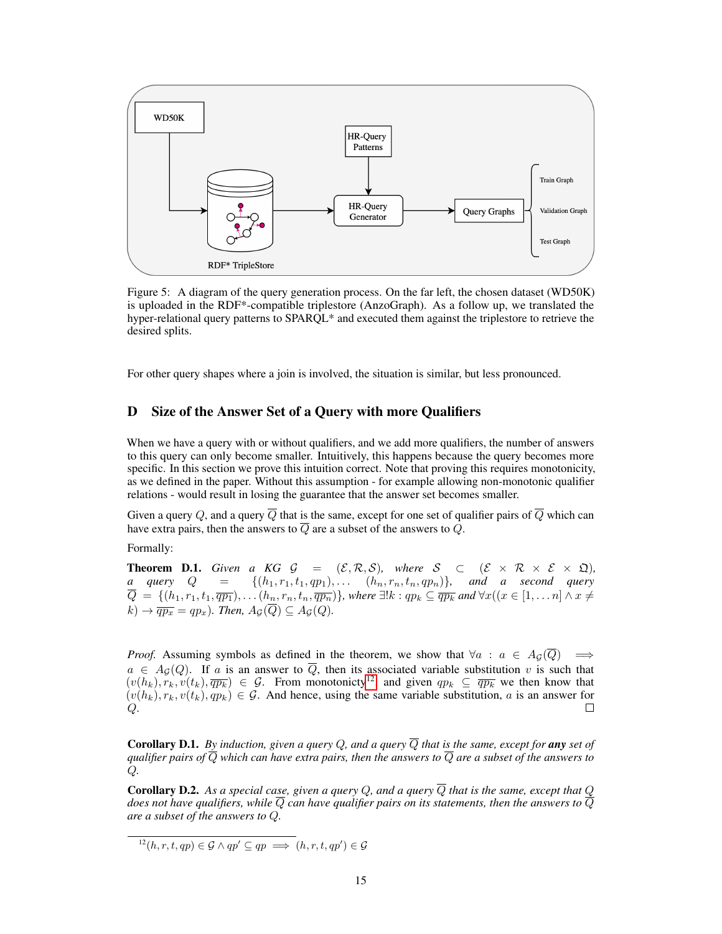

Figure 5: A diagram of the query generation process. On the far left, the chosen dataset (WD50K) is uploaded in the RDF\*-compatible triplestore (AnzoGraph). As a follow up, we translated the hyper-relational query patterns to SPARQL\* and executed them against the triplestore to retrieve the desired splits.

For other query shapes where a join is involved, the situation is similar, but less pronounced.

## D Size of the Answer Set of a Query with more Qualifiers

When we have a query with or without qualifiers, and we add more qualifiers, the number of answers to this query can only become smaller. Intuitively, this happens because the query becomes more specific. In this section we prove this intuition correct. Note that proving this requires monotonicity, as we defined in the paper. Without this assumption - for example allowing non-monotonic qualifier relations - would result in losing the guarantee that the answer set becomes smaller.

Given a query Q, and a query  $\overline{Q}$  that is the same, except for one set of qualifier pairs of  $\overline{Q}$  which can have extra pairs, then the answers to  $\overline{Q}$  are a subset of the answers to  $Q$ .

Formally:

**Theorem D.1.** Given a KG  $\mathcal{G} = (\mathcal{E}, \mathcal{R}, \mathcal{S})$ , where  $\mathcal{S} \subset (\mathcal{E} \times \mathcal{R} \times \mathcal{E} \times \mathfrak{Q})$ , *a* query  $Q = \{(h_1, r_1, t_1, qp_1), \ldots \{(h_n, r_n, t_n, qp_n)\}, \text{ and a second query}$  $\overline{Q} \ = \ \{(h_1, r_1, t_1, \overline{q p_1}), \dots (h_n, r_n, t_n, \overline{q p_n})\}$ , where  $\exists!k: qp_k \subseteq \overline{q p_k}$  and  $\forall x((x \in [1, \dots n] \land x \neq 0)$  $(k) \rightarrow \overline{qp_x} = qp_x$ ). Then,  $A_{\mathcal{G}}(Q) \subseteq A_{\mathcal{G}}(Q)$ .

*Proof.* Assuming symbols as defined in the theorem, we show that  $\forall a : a \in A_{\mathcal{G}}(\overline{Q}) \implies$  $a \in A_{\mathcal{G}}(Q)$ . If a is an answer to Q, then its associated variable substitution v is such that  $(v(h_k), r_k, v(t_k), \overline{qp_k}) \in G$ . From monotonicty<sup>[12](#page-14-0)</sup>, and given  $qp_k \subseteq \overline{qp_k}$  we then know that  $(v(h_k), r_k, v(t_k), qp_k) \in G$ . And hence, using the same variable substitution, a is an answer for Q. П

**Corollary D.1.** By induction, given a query Q, and a query  $\overline{Q}$  that is the same, except for any set of *qualifier pairs of*  $\overline{Q}$  *which can have extra pairs, then the answers to*  $\overline{Q}$  *are a subset of the answers to* Q*.*

**Corollary D.2.** As a special case, given a query  $Q$ , and a query  $\overline{Q}$  that is the same, except that  $Q$ *does not have qualifiers, while*  $\overline{Q}$  *can have qualifier pairs on its statements, then the answers to*  $\overline{Q}$ *are a subset of the answers to* Q*.*

<span id="page-14-0"></span> $12(h, r, t, qp) \in \mathcal{G} \wedge qp' \subseteq qp \implies (h, r, t, qp') \in \mathcal{G}$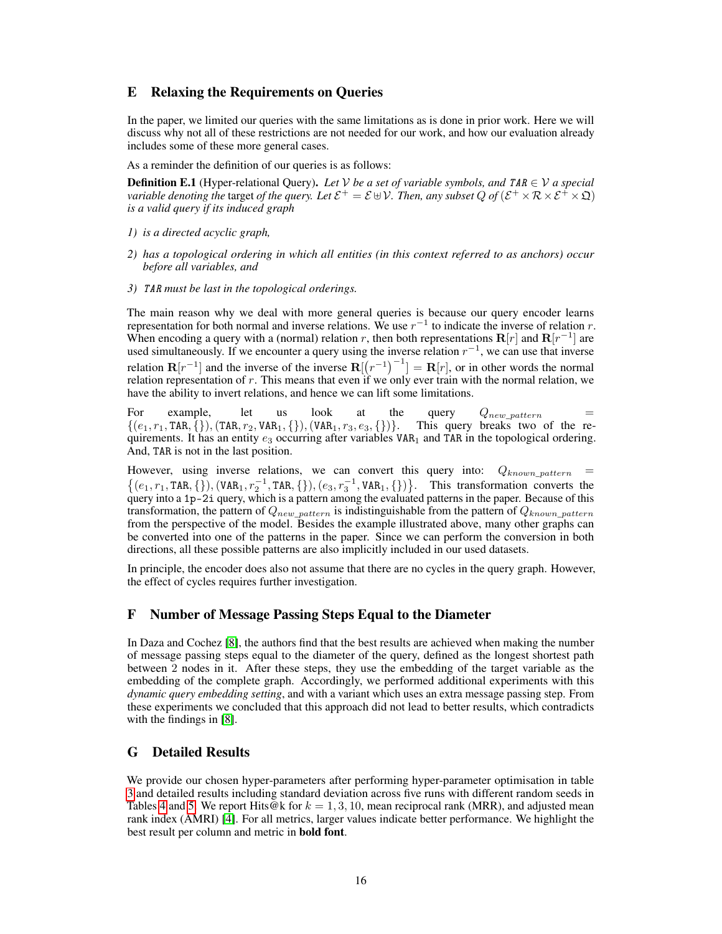## E Relaxing the Requirements on Queries

In the paper, we limited our queries with the same limitations as is done in prior work. Here we will discuss why not all of these restrictions are not needed for our work, and how our evaluation already includes some of these more general cases.

As a reminder the definition of our queries is as follows:

**Definition E.1** (Hyper-relational Query). Let V be a set of variable symbols, and TAR  $\in$  V a special *variable denoting the target of the query. Let*  $\mathcal{E}^+=\mathcal{E} \uplus \mathcal{V}$ *. Then, any subset*  $Q$  *of*  $(\mathcal{E}^+\times\mathcal{R}\times\mathcal{E}^+\times\mathfrak{Q})$ *is a valid query if its induced graph*

- *1) is a directed acyclic graph,*
- *2) has a topological ordering in which all entities (in this context referred to as anchors) occur before all variables, and*
- *3)* TAR *must be last in the topological orderings.*

The main reason why we deal with more general queries is because our query encoder learns representation for both normal and inverse relations. We use  $r^{-1}$  to indicate the inverse of relation r. When encoding a query with a (normal) relation r, then both representations  $R[r]$  and  $R[r^{-1}]$  are used simultaneously. If we encounter a query using the inverse relation  $r^{-1}$ , we can use that inverse relation  $\mathbf{R}[r^{-1}]$  and the inverse of the inverse  $\mathbf{R}[(r^{-1})^{-1}] = \mathbf{R}[r]$ , or in other words the normal relation representation of  $r$ . This means that even if we only ever train with the normal relation, we have the ability to invert relations, and hence we can lift some limitations.

For example, let us look at the query  $Q_{new\_pattern} = \{(e_1, r_1, \text{TAR}, \{\}, \text{TAR}, r_2, \text{VAR}_1, \{\}, \text{(VAR}_1, r_3, e_3, \{\})\}.$  This query breaks two of the re- $\{(e_1, r_1, \texttt{TAR}, \{\}), (\texttt{TAR}, r_2, \texttt{VAR}_1, \{\}), (\texttt{VAR}_1, r_3, e_3, \{\})\}.$ quirements. It has an entity  $e_3$  occurring after variables VAR<sub>1</sub> and TAR in the topological ordering. And, TAR is not in the last position.

However, using inverse relations, we can convert this query into:  $Q_{known\_pattern}$  =  $\{(e_1, r_1, \texttt{TAR}, \{\}), (\texttt{VAR}_1, r_2^{-1}, \texttt{TAR}, \{\}), (e_3, r_3^{-1}, \texttt{VAR}_1, \{\})\}.$  This transformation converts the query into a 1p-2i query, which is a pattern among the evaluated patterns in the paper. Because of this transformation, the pattern of  $Q_{new\_pattern}$  is indistinguishable from the pattern of  $Q_{known\_pattern}$ from the perspective of the model. Besides the example illustrated above, many other graphs can be converted into one of the patterns in the paper. Since we can perform the conversion in both directions, all these possible patterns are also implicitly included in our used datasets.

In principle, the encoder does also not assume that there are no cycles in the query graph. However, the effect of cycles requires further investigation.

### F Number of Message Passing Steps Equal to the Diameter

In Daza and Cochez [\[8\]](#page-9-1), the authors find that the best results are achieved when making the number of message passing steps equal to the diameter of the query, defined as the longest shortest path between 2 nodes in it. After these steps, they use the embedding of the target variable as the embedding of the complete graph. Accordingly, we performed additional experiments with this *dynamic query embedding setting*, and with a variant which uses an extra message passing step. From these experiments we concluded that this approach did not lead to better results, which contradicts with the findings in [\[8\]](#page-9-1).

## G Detailed Results

We provide our chosen hyper-parameters after performing hyper-parameter optimisation in table [3](#page-16-0) and detailed results including standard deviation across five runs with different random seeds in Tables [4](#page-17-0) and [5.](#page-18-0) We report Hits@k for  $k = 1, 3, 10$ , mean reciprocal rank (MRR), and adjusted mean rank index (AMRI) [\[4\]](#page-9-9). For all metrics, larger values indicate better performance. We highlight the best result per column and metric in bold font.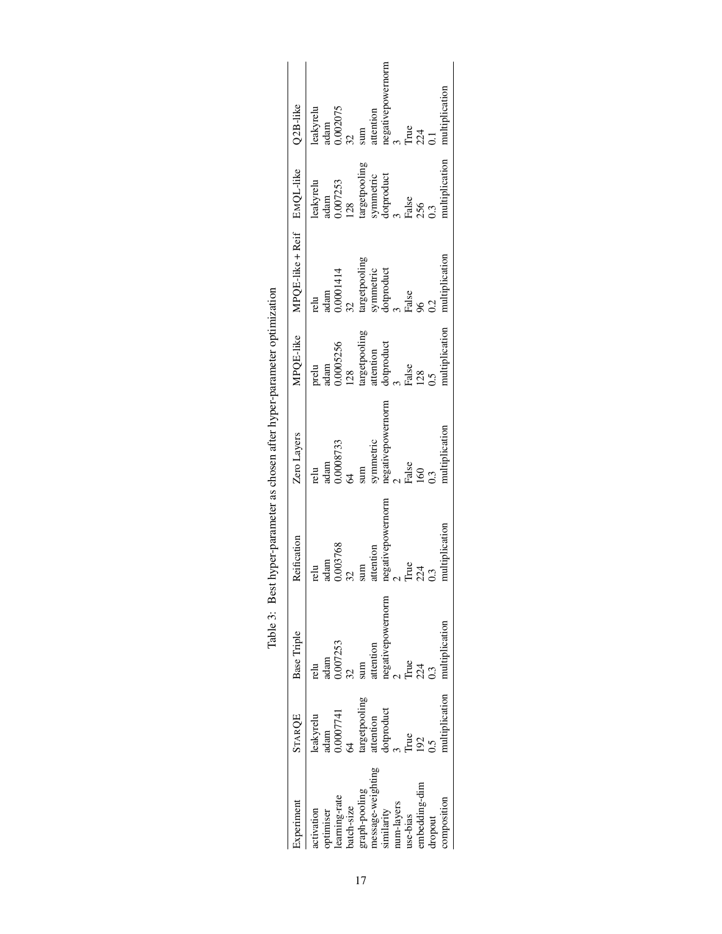<span id="page-16-0"></span>

|                                                                |                                      |                                | Table 3: Best hyper-parameter as chosen after hyper-parameter optimization |                             |                            |                            |                               |                   |
|----------------------------------------------------------------|--------------------------------------|--------------------------------|----------------------------------------------------------------------------|-----------------------------|----------------------------|----------------------------|-------------------------------|-------------------|
| periment                                                       | <b>STARQE</b>                        | Base Triple                    | Reification                                                                | Zero Layers                 | MPQE-like                  | MPQE-like + Reif EMQL-like |                               | $Q2B$ -like       |
| ctivation                                                      | leakyrelu<br>adam<br>0.0007741<br>64 | relu                           | adam<br>relu                                                               | adam<br>relu                | prelu<br>adam              | adam<br>relu               | leakyrelu<br>adam<br>0.007253 | leakyrelu<br>adam |
| optimiser<br>learning-rate<br>batch-size                       |                                      | adam<br>0.007253               |                                                                            | 0.0008733                   | 0.0005256                  | 0.0001414                  | 28                            | 0.002075          |
|                                                                |                                      |                                |                                                                            | sum                         | $\frac{128}{2}$            | targetpooling              | argetpooling                  | sum               |
| graph-pooling<br>message-weighting<br>similarity<br>num-layers | targetpooling<br>attention           |                                | attention                                                                  |                             | targetpooling<br>attention |                            |                               | attention         |
|                                                                | dotproduct                           | attention<br>negativepowernorm | negativepower                                                              | symmetric<br>negativepower: | dotproduct                 | symmetric<br>dotproduct    | symmetric<br>dotproduct       | negativep         |
|                                                                |                                      |                                |                                                                            |                             |                            |                            |                               |                   |
| use-bias                                                       | rue                                  |                                | Irue                                                                       | False                       | False                      | False                      | False                         | <b>True</b>       |
| mbedding-dim                                                   |                                      | rue<br>224                     |                                                                            |                             | 128                        |                            | 256                           | 24                |
| ropout                                                         | نہ                                   |                                |                                                                            | 0.3                         | $.5^{\circ}$               | $\tilde{c}$                | $\dot{.}3$                    |                   |
| anposition                                                     | nultiplication                       | multiplication                 |                                                                            |                             |                            | nultiplicat                |                               |                   |
|                                                                |                                      |                                |                                                                            |                             |                            |                            |                               |                   |

| ı                                                                              |
|--------------------------------------------------------------------------------|
| ı                                                                              |
|                                                                                |
| the home momentar of chocan offer buner normaler only only also<br>)<br>2<br>I |
| וב משפר היה שנה                                                                |
| $T_{\rm e}1.1$                                                                 |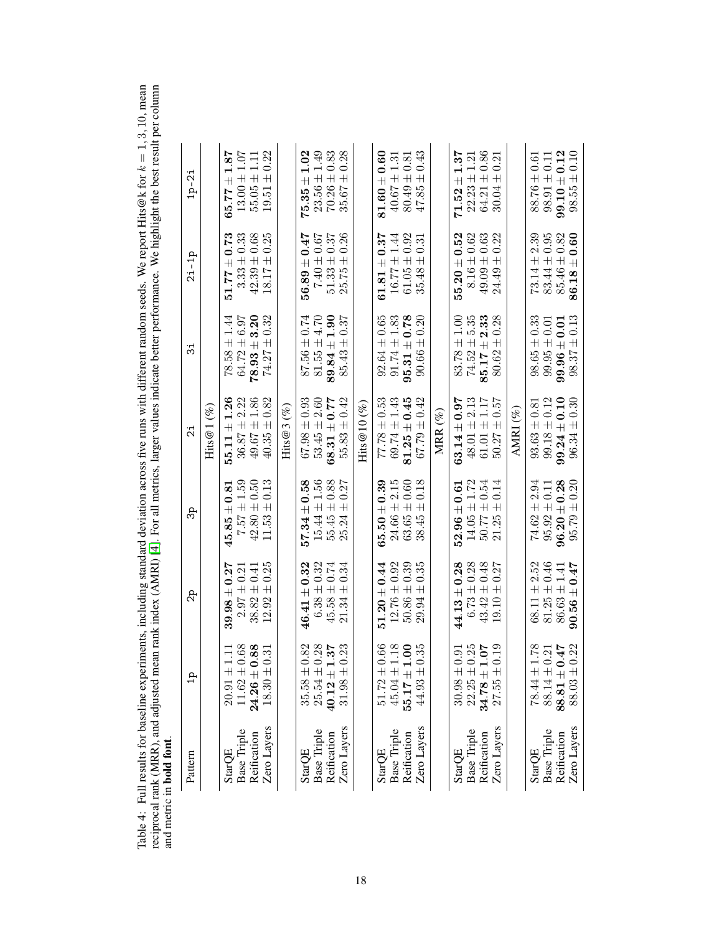<span id="page-17-0"></span>Table 4: Full results for baseline experiments, including standard deviation across five runs with different random seeds. We report Hits@k for Table 4: Full results for baseline experiments, including standard deviation across five runs with different random seeds. We report Hits@k for  $k = 1, 3, 10$ , mean reciprocal rank (MRR), and adjusted mean rank index (AMRI  $k = 1, 3, 10,$  mean reciprocal rank (MRR), and adjusted mean rank index (AMRI) [ [4\]](#page-9-9). For all metrics, larger values indicate better performance. We highlight the best result per column and metric in bold font.

| $\begin{array}{c} 50.86 \pm 0.39 \\ 29.94 \pm 0.35 \end{array}$<br>$2.97 \pm 0.21$<br>46.41<br>1.78<br>0.68<br>0.88<br>0.82<br>$25.54 \pm 0.28$<br>0.23<br>$51.72 \pm 0.66$ $45.04 \pm 1.18$<br>1.00<br>0.25<br>0.35<br>$34.78 \pm 1.07$<br>0.19<br>75.0<br>$\ddot{\text{S}}$<br>0.21<br>$\Xi$<br>0.31<br>0.91<br>$40.12 \pm 1$<br>$55.17 \pm 1$<br>$11.62\ \pm$<br>$22.25\ \pm$<br>$20.91 \pm$<br>$30.98 \pm$<br>$35.58 \pm$<br>$78.44 \pm$<br>$88.14 \pm$<br>$24.26 \pm$<br>$31.98 \pm$<br>$44.93\ \pm$<br>$88.81 \pm$<br>$27.55 \pm$<br>$18.30 \pm$<br>Zero Layers<br>Zero Layers<br>Zero Layers<br>Zero Layers<br><b>Base Triple</b><br><b>Base Triple</b><br><b>Base Triple</b><br>Base Triple<br><b>Base Triple</b><br>Reification<br>Reification<br>Reification<br>Reification<br>Reification<br><b>StarQE</b><br>StarQE<br>StarQE<br><b>StarQE</b><br>StarQE | ಧಿ               | ಹಿ                                     | 21                                                              | ಸ                                    | $2i - 1p$                           | $1p-2i$                                             |
|----------------------------------------------------------------------------------------------------------------------------------------------------------------------------------------------------------------------------------------------------------------------------------------------------------------------------------------------------------------------------------------------------------------------------------------------------------------------------------------------------------------------------------------------------------------------------------------------------------------------------------------------------------------------------------------------------------------------------------------------------------------------------------------------------------------------------------------------------------------------|------------------|----------------------------------------|-----------------------------------------------------------------|--------------------------------------|-------------------------------------|-----------------------------------------------------|
|                                                                                                                                                                                                                                                                                                                                                                                                                                                                                                                                                                                                                                                                                                                                                                                                                                                                      |                  |                                        | $(\%)$<br>Hits@1                                                |                                      |                                     |                                                     |
|                                                                                                                                                                                                                                                                                                                                                                                                                                                                                                                                                                                                                                                                                                                                                                                                                                                                      | $39.98 \pm 0.27$ | $7.57 \pm 1.59$<br>$18.0 \pm$<br>45.85 | $36.87 \pm 2.22$<br>$55.11 \pm 1.26$                            | $64.72 \pm 6.97$<br>$78.58 \pm 1.44$ | $3.33 \pm 0.33$<br>$51.77 \pm 0.73$ | $13.00 \pm 1.07$<br>1.87<br>$\overline{+}$<br>65.77 |
|                                                                                                                                                                                                                                                                                                                                                                                                                                                                                                                                                                                                                                                                                                                                                                                                                                                                      | $38.82 \pm 0.41$ | $42.80 \pm 0.50$                       | $49.67 \pm 1.86$                                                | $78.93 \pm 3.20$                     | $42.39 \pm 0.68$                    | $55.05 \pm 1.11$                                    |
|                                                                                                                                                                                                                                                                                                                                                                                                                                                                                                                                                                                                                                                                                                                                                                                                                                                                      | $12.92 \pm 0.25$ | $11.53 \pm 0.13$                       | $40.35 \pm 0.82$                                                | $74.27 \pm 0.32$                     | $18.17 \pm 0.25$                    | $19.51 \pm 0.22$                                    |
|                                                                                                                                                                                                                                                                                                                                                                                                                                                                                                                                                                                                                                                                                                                                                                                                                                                                      |                  |                                        | $\mathrm{Hits}@3~(\%)$                                          |                                      |                                     |                                                     |
|                                                                                                                                                                                                                                                                                                                                                                                                                                                                                                                                                                                                                                                                                                                                                                                                                                                                      | $\pm\,0.32$      | $57.34 \pm 0.58$                       | $67.98 \pm 0.93$                                                | $87.56 \pm 0.74$                     | $56.89 \pm 0.47$                    | 1.02<br>$75.35 \pm$                                 |
|                                                                                                                                                                                                                                                                                                                                                                                                                                                                                                                                                                                                                                                                                                                                                                                                                                                                      | $6.38 \pm 0.32$  | $15.44 \pm 1.56$                       | $53.45 \pm 2.60$                                                | $81.55 \pm 4.70$                     | $7.40 \pm 0.67$                     | $23.56 \pm 1.49$                                    |
|                                                                                                                                                                                                                                                                                                                                                                                                                                                                                                                                                                                                                                                                                                                                                                                                                                                                      | $45.58 \pm 0.74$ | $55.45 \pm 0.88$                       | $68.31 \pm 0.77$                                                | $89.84 \pm 1.90$                     | $51.33 \pm 0.37$                    | $70.26 \pm 0.83$                                    |
|                                                                                                                                                                                                                                                                                                                                                                                                                                                                                                                                                                                                                                                                                                                                                                                                                                                                      | $21.34 \pm 0.34$ | $25.24 \pm 0.27$                       | $55.83 \pm 0.42$                                                | $85.43 \pm 0.37$                     | $25.75 \pm 0.26$                    | $35.67 \pm 0.28$                                    |
|                                                                                                                                                                                                                                                                                                                                                                                                                                                                                                                                                                                                                                                                                                                                                                                                                                                                      |                  |                                        | Hits $@10(\%)$                                                  |                                      |                                     |                                                     |
|                                                                                                                                                                                                                                                                                                                                                                                                                                                                                                                                                                                                                                                                                                                                                                                                                                                                      | $51.20\pm0.44$   | $65.50\pm0.39$                         | $77.78 \pm 0.53$                                                | $92.64 \pm 0.65$                     | $61.81\pm0.37$                      | $81.60 \pm 0.60$                                    |
|                                                                                                                                                                                                                                                                                                                                                                                                                                                                                                                                                                                                                                                                                                                                                                                                                                                                      | $12.76 \pm 0.92$ | $24.66 \pm 2.15$                       | $69.74 \pm 1.43$                                                | $91.74 \pm 1.83$                     | $16.77 \pm 1.44$                    | $40.67 \pm 1.31$                                    |
|                                                                                                                                                                                                                                                                                                                                                                                                                                                                                                                                                                                                                                                                                                                                                                                                                                                                      |                  | $63.65 \pm 0.60$                       | $81.25 \pm 0.45$                                                | $95.31 \pm 0.78$                     | $61.05 \pm 0.92$                    | $80.49 \pm 0.81$                                    |
|                                                                                                                                                                                                                                                                                                                                                                                                                                                                                                                                                                                                                                                                                                                                                                                                                                                                      |                  | $38.45 \pm 0.18$                       | $67.79 \pm 0.42$                                                | $90.66 \pm 0.20$                     | $35.48 \pm 0.31$                    | $47.85 \pm 0.43$                                    |
|                                                                                                                                                                                                                                                                                                                                                                                                                                                                                                                                                                                                                                                                                                                                                                                                                                                                      |                  |                                        | MRR $(\%)$                                                      |                                      |                                     |                                                     |
|                                                                                                                                                                                                                                                                                                                                                                                                                                                                                                                                                                                                                                                                                                                                                                                                                                                                      | $44.13 \pm 0.28$ | $52.96 \pm 0.61$                       | $63.14 \pm 0.97$                                                | $83.78 \pm 1.00$                     | $55.20 \pm 0.52$                    | 1.37<br>$71.52 \pm$                                 |
|                                                                                                                                                                                                                                                                                                                                                                                                                                                                                                                                                                                                                                                                                                                                                                                                                                                                      | $6.73 \pm 0.28$  | $14.05 \pm 1.72$                       | $48.01 \pm 2.13$                                                | $74.52 \pm 5.35$                     | $8.16 \pm 0.62$                     | $22.23 \pm 1.21$                                    |
|                                                                                                                                                                                                                                                                                                                                                                                                                                                                                                                                                                                                                                                                                                                                                                                                                                                                      | $43.42 \pm 0.48$ | $50.77 \pm 0.54$                       | $\begin{array}{c} 61.01 \pm 1.17 \\ 50.27 \pm 0.57 \end{array}$ | $85.17 \pm 2.33$                     | $49.09 \pm 0.63$                    | $64.21 \pm 0.86$                                    |
|                                                                                                                                                                                                                                                                                                                                                                                                                                                                                                                                                                                                                                                                                                                                                                                                                                                                      | $19.10 \pm 0.27$ | $21.25 \pm 0.14$                       |                                                                 | $80.62 \pm 0.28$                     | $24.49 \pm 0.22$                    | $30.04 \pm 0.21$                                    |
|                                                                                                                                                                                                                                                                                                                                                                                                                                                                                                                                                                                                                                                                                                                                                                                                                                                                      |                  |                                        | AMRI $(%)$                                                      |                                      |                                     |                                                     |
|                                                                                                                                                                                                                                                                                                                                                                                                                                                                                                                                                                                                                                                                                                                                                                                                                                                                      | $68.11 \pm 2.52$ | $74.62 \pm 2.94$                       | $93.63 \pm 0.81$                                                | $98.65 \pm 0.33$                     | $73.14 \pm 2.39$                    | $88.76 \pm 0.61$                                    |
|                                                                                                                                                                                                                                                                                                                                                                                                                                                                                                                                                                                                                                                                                                                                                                                                                                                                      | $81.25 \pm 0.46$ | $95.92 \pm 0.11$                       | $99.18 \pm 0.12$                                                | $99.95 \pm 0.01$                     | $83.44 \pm 0.95$                    | $98.91 \pm 0.11$                                    |
|                                                                                                                                                                                                                                                                                                                                                                                                                                                                                                                                                                                                                                                                                                                                                                                                                                                                      | $86.63 \pm 1.41$ | $96.20\pm0.28$                         | $99.24 \pm 0.10$                                                | $99.96\pm0.01$                       | $85.46 \pm 0.82$                    | $99.10 \pm 0.12$                                    |
| 0.22<br>88.03 ±<br>Zero Layers                                                                                                                                                                                                                                                                                                                                                                                                                                                                                                                                                                                                                                                                                                                                                                                                                                       | $90.56 \pm 0.47$ | $95.79 \pm 0.20$                       | $96.34 \pm 0.30$                                                | $98.37 \pm 0.13$                     | $86.18 \pm 0.60$                    | $98.55 \pm 0.10$                                    |